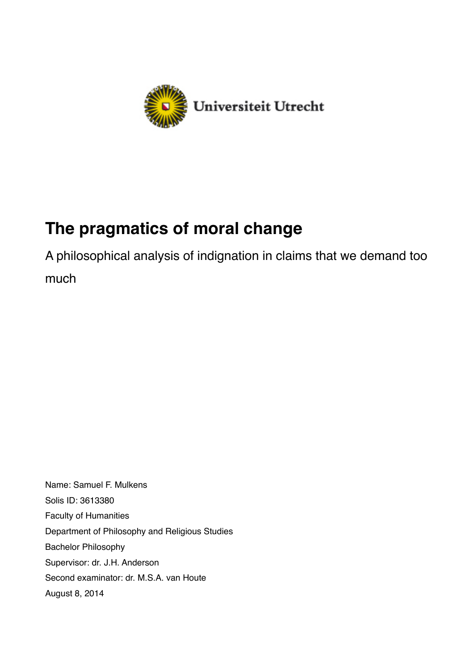

# **The pragmatics of moral change**

A philosophical analysis of indignation in claims that we demand too much

Name: Samuel F. Mulkens Solis ID: 3613380 Faculty of Humanities Department of Philosophy and Religious Studies Bachelor Philosophy Supervisor: dr. J.H. Anderson Second examinator: dr. M.S.A. van Houte August 8, 2014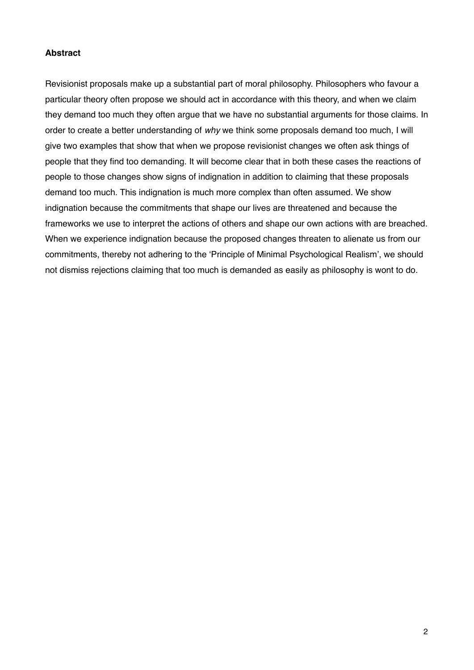# **Abstract**

Revisionist proposals make up a substantial part of moral philosophy. Philosophers who favour a particular theory often propose we should act in accordance with this theory, and when we claim they demand too much they often argue that we have no substantial arguments for those claims. In order to create a better understanding of *why* we think some proposals demand too much, I will give two examples that show that when we propose revisionist changes we often ask things of people that they find too demanding. It will become clear that in both these cases the reactions of people to those changes show signs of indignation in addition to claiming that these proposals demand too much. This indignation is much more complex than often assumed. We show indignation because the commitments that shape our lives are threatened and because the frameworks we use to interpret the actions of others and shape our own actions with are breached. When we experience indignation because the proposed changes threaten to alienate us from our commitments, thereby not adhering to the 'Principle of Minimal Psychological Realism', we should not dismiss rejections claiming that too much is demanded as easily as philosophy is wont to do.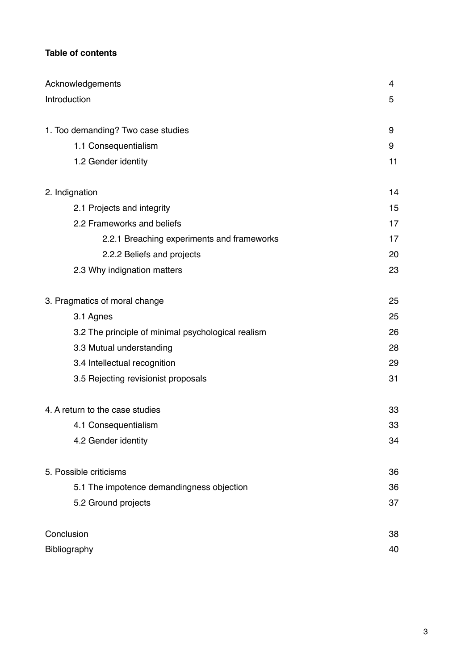# **Table of contents**

| Acknowledgements                                   | 4  |
|----------------------------------------------------|----|
| Introduction                                       | 5  |
|                                                    |    |
| 1. Too demanding? Two case studies                 | 9  |
| 1.1 Consequentialism                               | 9  |
| 1.2 Gender identity                                | 11 |
| 2. Indignation                                     | 14 |
| 2.1 Projects and integrity                         | 15 |
| 2.2 Frameworks and beliefs                         | 17 |
| 2.2.1 Breaching experiments and frameworks         | 17 |
| 2.2.2 Beliefs and projects                         | 20 |
| 2.3 Why indignation matters                        | 23 |
| 3. Pragmatics of moral change                      | 25 |
| 3.1 Agnes                                          | 25 |
| 3.2 The principle of minimal psychological realism | 26 |
| 3.3 Mutual understanding                           | 28 |
| 3.4 Intellectual recognition                       | 29 |
| 3.5 Rejecting revisionist proposals                | 31 |
| 4. A return to the case studies                    | 33 |
| 4.1 Consequentialism                               | 33 |
| 4.2 Gender identity                                | 34 |
| 5. Possible criticisms                             | 36 |
| 5.1 The impotence demandingness objection          | 36 |
| 5.2 Ground projects                                | 37 |
| Conclusion                                         | 38 |
| Bibliography                                       | 40 |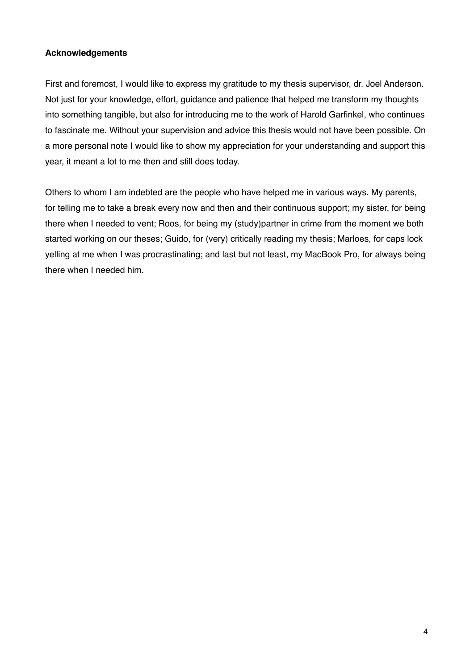## **Acknowledgements**

First and foremost, I would like to express my gratitude to my thesis supervisor, dr. Joel Anderson. Not just for your knowledge, effort, guidance and patience that helped me transform my thoughts into something tangible, but also for introducing me to the work of Harold Garfinkel, who continues to fascinate me. Without your supervision and advice this thesis would not have been possible. On a more personal note I would like to show my appreciation for your understanding and support this year, it meant a lot to me then and still does today.

Others to whom I am indebted are the people who have helped me in various ways. My parents, for telling me to take a break every now and then and their continuous support; my sister, for being there when I needed to vent; Roos, for being my (study)partner in crime from the moment we both started working on our theses; Guido, for (very) critically reading my thesis; Marloes, for caps lock yelling at me when I was procrastinating; and last but not least, my MacBook Pro, for always being there when I needed him.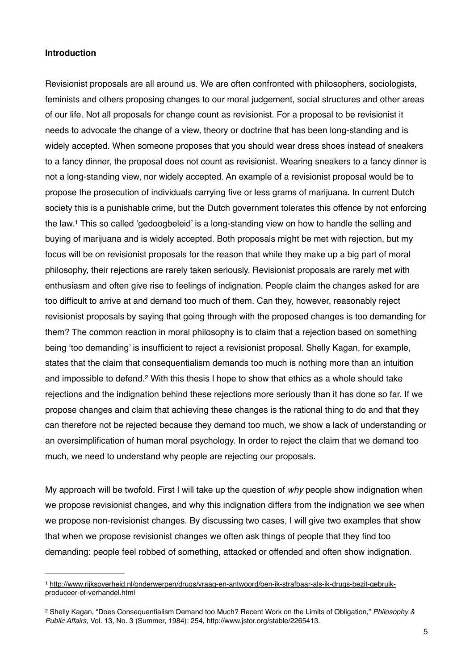#### **Introduction**

Revisionist proposals are all around us. We are often confronted with philosophers, sociologists, feminists and others proposing changes to our moral judgement, social structures and other areas of our life. Not all proposals for change count as revisionist. For a proposal to be revisionist it needs to advocate the change of a view, theory or doctrine that has been long-standing and is widely accepted. When someone proposes that you should wear dress shoes instead of sneakers to a fancy dinner, the proposal does not count as revisionist. Wearing sneakers to a fancy dinner is not a long-standing view, nor widely accepted. An example of a revisionist proposal would be to propose the prosecution of individuals carrying five or less grams of marijuana. In current Dutch society this is a punishable crime, but the Dutch government tolerates this offence by not enforcing the law.<sup>1</sup> This so called 'gedoogbeleid' is a long-standing view on how to handle the selling and buying of marijuana and is widely accepted. Both proposals might be met with rejection, but my focus will be on revisionist proposals for the reason that while they make up a big part of moral philosophy, their rejections are rarely taken seriously. Revisionist proposals are rarely met with enthusiasm and often give rise to feelings of indignation. People claim the changes asked for are too difficult to arrive at and demand too much of them. Can they, however, reasonably reject revisionist proposals by saying that going through with the proposed changes is too demanding for them? The common reaction in moral philosophy is to claim that a rejection based on something being 'too demanding' is insufficient to reject a revisionist proposal. Shelly Kagan, for example, states that the claim that consequentialism demands too much is nothing more than an intuition and impossible to defend.<sup>2</sup> With this thesis I hope to show that ethics as a whole should take rejections and the indignation behind these rejections more seriously than it has done so far. If we propose changes and claim that achieving these changes is the rational thing to do and that they can therefore not be rejected because they demand too much, we show a lack of understanding or an oversimplification of human moral psychology. In order to reject the claim that we demand too much, we need to understand why people are rejecting our proposals.

My approach will be twofold. First I will take up the question of *why* people show indignation when we propose revisionist changes, and why this indignation differs from the indignation we see when we propose non-revisionist changes. By discussing two cases, I will give two examples that show that when we propose revisionist changes we often ask things of people that they find too demanding: people feel robbed of something, attacked or offended and often show indignation.

[http://www.rijksoverheid.nl/onderwerpen/drugs/vraag-en-antwoord/ben-ik-strafbaar-als-ik-drugs-bezit-gebruik-](http://www.rijksoverheid.nl/onderwerpen/drugs/vraag-en-antwoord/ben-ik-strafbaar-als-ik-drugs-bezit-gebruik-produceer-of-verhandel.html) <sup>1</sup> produceer-of-verhandel.html

Shelly Kagan, "Does Consequentialism Demand too Much? Recent Work on the Limits of Obligation," *Philosophy &* <sup>2</sup> *Public Affairs,* Vol. 13, No. 3 (Summer, 1984): 254, http://www.jstor.org/stable/2265413.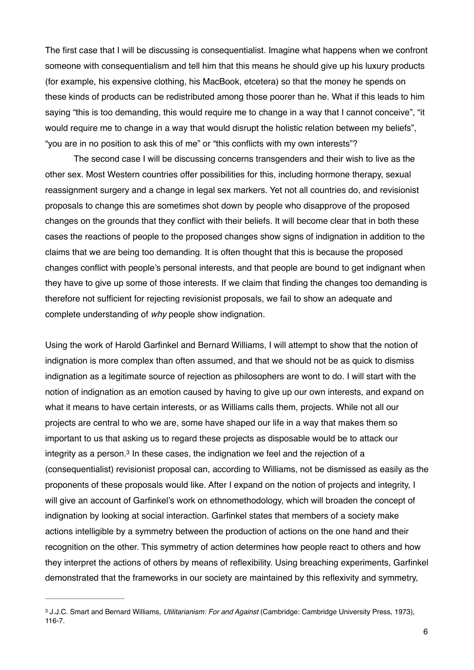The first case that I will be discussing is consequentialist. Imagine what happens when we confront someone with consequentialism and tell him that this means he should give up his luxury products (for example, his expensive clothing, his MacBook, etcetera) so that the money he spends on these kinds of products can be redistributed among those poorer than he. What if this leads to him saying "this is too demanding, this would require me to change in a way that I cannot conceive", "it would require me to change in a way that would disrupt the holistic relation between my beliefs", "you are in no position to ask this of me" or "this conflicts with my own interests"?

The second case I will be discussing concerns transgenders and their wish to live as the other sex. Most Western countries offer possibilities for this, including hormone therapy, sexual reassignment surgery and a change in legal sex markers. Yet not all countries do, and revisionist proposals to change this are sometimes shot down by people who disapprove of the proposed changes on the grounds that they conflict with their beliefs. It will become clear that in both these cases the reactions of people to the proposed changes show signs of indignation in addition to the claims that we are being too demanding. It is often thought that this is because the proposed changes conflict with people's personal interests, and that people are bound to get indignant when they have to give up some of those interests. If we claim that finding the changes too demanding is therefore not sufficient for rejecting revisionist proposals, we fail to show an adequate and complete understanding of *why* people show indignation.

Using the work of Harold Garfinkel and Bernard Williams, I will attempt to show that the notion of indignation is more complex than often assumed, and that we should not be as quick to dismiss indignation as a legitimate source of rejection as philosophers are wont to do. I will start with the notion of indignation as an emotion caused by having to give up our own interests, and expand on what it means to have certain interests, or as Williams calls them, projects. While not all our projects are central to who we are, some have shaped our life in a way that makes them so important to us that asking us to regard these projects as disposable would be to attack our integrity as a person. $3$  In these cases, the indignation we feel and the rejection of a (consequentialist) revisionist proposal can, according to Williams, not be dismissed as easily as the proponents of these proposals would like. After I expand on the notion of projects and integrity, I will give an account of Garfinkel's work on ethnomethodology, which will broaden the concept of indignation by looking at social interaction. Garfinkel states that members of a society make actions intelligible by a symmetry between the production of actions on the one hand and their recognition on the other. This symmetry of action determines how people react to others and how they interpret the actions of others by means of reflexibility. Using breaching experiments, Garfinkel demonstrated that the frameworks in our society are maintained by this reflexivity and symmetry,

J.J.C. Smart and Bernard Williams, *Utilitarianism: For and Against* (Cambridge: Cambridge University Press, 1973), 3 116-7.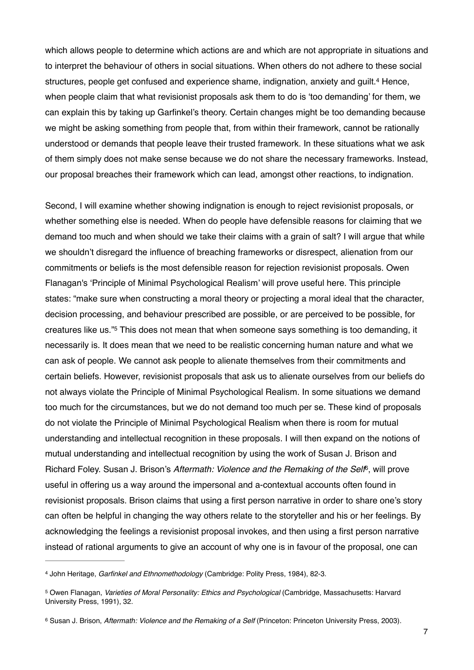which allows people to determine which actions are and which are not appropriate in situations and to interpret the behaviour of others in social situations. When others do not adhere to these social structures, people get confused and experience shame, indignation, anxiety and guilt.<sup>4</sup> Hence, when people claim that what revisionist proposals ask them to do is 'too demanding' for them, we can explain this by taking up Garfinkel's theory. Certain changes might be too demanding because we might be asking something from people that, from within their framework, cannot be rationally understood or demands that people leave their trusted framework. In these situations what we ask of them simply does not make sense because we do not share the necessary frameworks. Instead, our proposal breaches their framework which can lead, amongst other reactions, to indignation.

Second, I will examine whether showing indignation is enough to reject revisionist proposals, or whether something else is needed. When do people have defensible reasons for claiming that we demand too much and when should we take their claims with a grain of salt? I will argue that while we shouldn't disregard the influence of breaching frameworks or disrespect, alienation from our commitments or beliefs is the most defensible reason for rejection revisionist proposals. Owen Flanagan's 'Principle of Minimal Psychological Realism' will prove useful here. This principle states: "make sure when constructing a moral theory or projecting a moral ideal that the character, decision processing, and behaviour prescribed are possible, or are perceived to be possible, for creatures like us."<sup>5</sup> This does not mean that when someone says something is too demanding, it necessarily is. It does mean that we need to be realistic concerning human nature and what we can ask of people. We cannot ask people to alienate themselves from their commitments and certain beliefs. However, revisionist proposals that ask us to alienate ourselves from our beliefs do not always violate the Principle of Minimal Psychological Realism. In some situations we demand too much for the circumstances, but we do not demand too much per se. These kind of proposals do not violate the Principle of Minimal Psychological Realism when there is room for mutual understanding and intellectual recognition in these proposals. I will then expand on the notions of mutual understanding and intellectual recognition by using the work of Susan J. Brison and Richard Foley. Susan J. Brison's *Aftermath: Violence and the Remaking of the Self* , will prove 6 useful in offering us a way around the impersonal and a-contextual accounts often found in revisionist proposals. Brison claims that using a first person narrative in order to share one's story can often be helpful in changing the way others relate to the storyteller and his or her feelings. By acknowledging the feelings a revisionist proposal invokes, and then using a first person narrative instead of rational arguments to give an account of why one is in favour of the proposal, one can

John Heritage, *Garfinkel and Ethnomethodology* (Cambridge: Polity Press, 1984), 82-3. 4

<sup>&</sup>lt;sup>5</sup> Owen Flanagan, *Varieties of Moral Personality: Ethics and Psychological* (Cambridge, Massachusetts: Harvard University Press, 1991), 32.

<sup>&</sup>lt;sup>6</sup> Susan J. Brison, *Aftermath: Violence and the Remaking of a Self* (Princeton: Princeton University Press, 2003).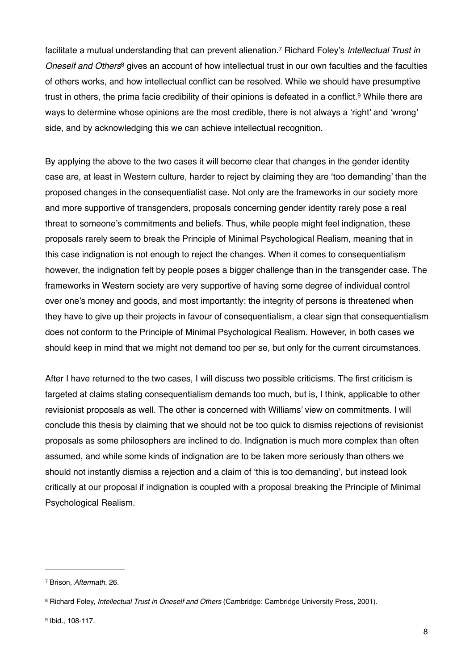facilitate a mutual understanding that can prevent alienation.<sup>7</sup> Richard Foley's *Intellectual Trust in Oneself and Others*<sup>8</sup> gives an account of how intellectual trust in our own faculties and the faculties of others works, and how intellectual conflict can be resolved. While we should have presumptive trust in others, the prima facie credibility of their opinions is defeated in a conflict.<sup>9</sup> While there are ways to determine whose opinions are the most credible, there is not always a 'right' and 'wrong' side, and by acknowledging this we can achieve intellectual recognition.

By applying the above to the two cases it will become clear that changes in the gender identity case are, at least in Western culture, harder to reject by claiming they are 'too demanding' than the proposed changes in the consequentialist case. Not only are the frameworks in our society more and more supportive of transgenders, proposals concerning gender identity rarely pose a real threat to someone's commitments and beliefs. Thus, while people might feel indignation, these proposals rarely seem to break the Principle of Minimal Psychological Realism, meaning that in this case indignation is not enough to reject the changes. When it comes to consequentialism however, the indignation felt by people poses a bigger challenge than in the transgender case. The frameworks in Western society are very supportive of having some degree of individual control over one's money and goods, and most importantly: the integrity of persons is threatened when they have to give up their projects in favour of consequentialism, a clear sign that consequentialism does not conform to the Principle of Minimal Psychological Realism. However, in both cases we should keep in mind that we might not demand too per se, but only for the current circumstances.

After I have returned to the two cases, I will discuss two possible criticisms. The first criticism is targeted at claims stating consequentialism demands too much, but is, I think, applicable to other revisionist proposals as well. The other is concerned with Williams' view on commitments. I will conclude this thesis by claiming that we should not be too quick to dismiss rejections of revisionist proposals as some philosophers are inclined to do. Indignation is much more complex than often assumed, and while some kinds of indignation are to be taken more seriously than others we should not instantly dismiss a rejection and a claim of 'this is too demanding', but instead look critically at our proposal if indignation is coupled with a proposal breaking the Principle of Minimal Psychological Realism.

<sup>&</sup>lt;sup>7</sup> Brison, Aftermath, 26.

<sup>8</sup> Richard Foley, *Intellectual Trust in Oneself and Others* (Cambridge: Cambridge University Press, 2001).

<sup>&</sup>lt;sup>9</sup> Ibid., 108-117.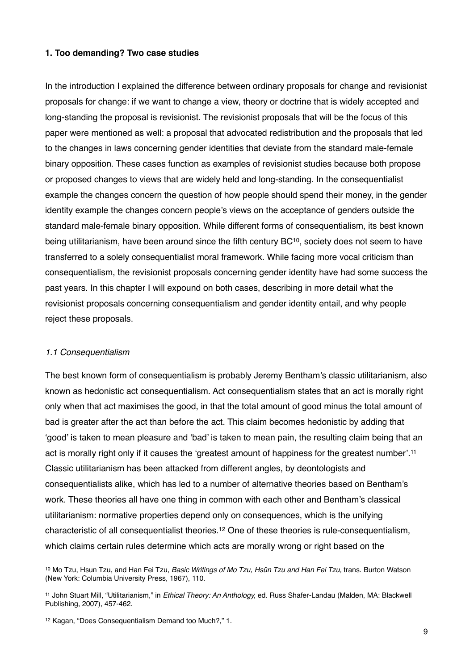#### **1. Too demanding? Two case studies**

In the introduction I explained the difference between ordinary proposals for change and revisionist proposals for change: if we want to change a view, theory or doctrine that is widely accepted and long-standing the proposal is revisionist. The revisionist proposals that will be the focus of this paper were mentioned as well: a proposal that advocated redistribution and the proposals that led to the changes in laws concerning gender identities that deviate from the standard male-female binary opposition. These cases function as examples of revisionist studies because both propose or proposed changes to views that are widely held and long-standing. In the consequentialist example the changes concern the question of how people should spend their money, in the gender identity example the changes concern people's views on the acceptance of genders outside the standard male-female binary opposition. While different forms of consequentialism, its best known being utilitarianism, have been around since the fifth century BC<sup>10</sup>, society does not seem to have transferred to a solely consequentialist moral framework. While facing more vocal criticism than consequentialism, the revisionist proposals concerning gender identity have had some success the past years. In this chapter I will expound on both cases, describing in more detail what the revisionist proposals concerning consequentialism and gender identity entail, and why people reject these proposals.

#### *1.1 Consequentialism*

The best known form of consequentialism is probably Jeremy Bentham's classic utilitarianism, also known as hedonistic act consequentialism. Act consequentialism states that an act is morally right only when that act maximises the good, in that the total amount of good minus the total amount of bad is greater after the act than before the act. This claim becomes hedonistic by adding that 'good' is taken to mean pleasure and 'bad' is taken to mean pain, the resulting claim being that an act is morally right only if it causes the 'greatest amount of happiness for the greatest number'.11 Classic utilitarianism has been attacked from different angles, by deontologists and consequentialists alike, which has led to a number of alternative theories based on Bentham's work. These theories all have one thing in common with each other and Bentham's classical utilitarianism: normative properties depend only on consequences, which is the unifying characteristic of all consequentialist theories.<sup>12</sup> One of these theories is rule-consequentialism, which claims certain rules determine which acts are morally wrong or right based on the

<sup>&</sup>lt;sup>10</sup> Mo Tzu, Hsun Tzu, and Han Fei Tzu, *Basic Writings of Mo Tzu, Hsün Tzu and Han Fei Tzu*, trans. Burton Watson (New York: Columbia University Press, 1967), 110.

<sup>&</sup>lt;sup>11</sup> John Stuart Mill, "Utilitarianism," in *Ethical Theory: An Anthology*, ed. Russ Shafer-Landau (Malden, MA: Blackwell Publishing, 2007), 457-462.

<sup>&</sup>lt;sup>12</sup> Kagan, "Does Consequentialism Demand too Much?," 1.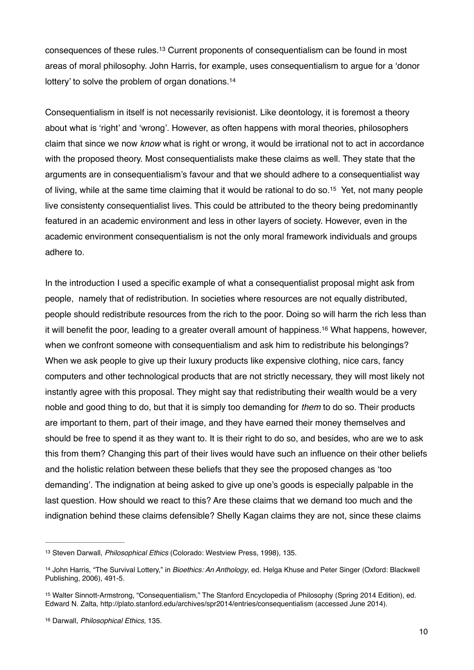consequences of these rules.<sup>13</sup> Current proponents of consequentialism can be found in most areas of moral philosophy. John Harris, for example, uses consequentialism to argue for a 'donor lottery' to solve the problem of organ donations.<sup>14</sup>

Consequentialism in itself is not necessarily revisionist. Like deontology, it is foremost a theory about what is 'right' and 'wrong'. However, as often happens with moral theories, philosophers claim that since we now *know* what is right or wrong, it would be irrational not to act in accordance with the proposed theory. Most consequentialists make these claims as well. They state that the arguments are in consequentialism's favour and that we should adhere to a consequentialist way of living, while at the same time claiming that it would be rational to do so.<sup>15</sup> Yet, not many people live consistenty consequentialist lives. This could be attributed to the theory being predominantly featured in an academic environment and less in other layers of society. However, even in the academic environment consequentialism is not the only moral framework individuals and groups adhere to.

In the introduction I used a specific example of what a consequentialist proposal might ask from people, namely that of redistribution. In societies where resources are not equally distributed, people should redistribute resources from the rich to the poor. Doing so will harm the rich less than it will benefit the poor, leading to a greater overall amount of happiness.<sup>16</sup> What happens, however, when we confront someone with consequentialism and ask him to redistribute his belongings? When we ask people to give up their luxury products like expensive clothing, nice cars, fancy computers and other technological products that are not strictly necessary, they will most likely not instantly agree with this proposal. They might say that redistributing their wealth would be a very noble and good thing to do, but that it is simply too demanding for *them* to do so. Their products are important to them, part of their image, and they have earned their money themselves and should be free to spend it as they want to. It is their right to do so, and besides, who are we to ask this from them? Changing this part of their lives would have such an influence on their other beliefs and the holistic relation between these beliefs that they see the proposed changes as 'too demanding'. The indignation at being asked to give up one's goods is especially palpable in the last question. How should we react to this? Are these claims that we demand too much and the indignation behind these claims defensible? Shelly Kagan claims they are not, since these claims

<sup>&</sup>lt;sup>13</sup> Steven Darwall, *Philosophical Ethics* (Colorado: Westview Press, 1998), 135.

<sup>&</sup>lt;sup>14</sup> John Harris, "The Survival Lottery," in *Bioethics: An Anthology*, ed. Helga Khuse and Peter Singer (Oxford: Blackwell Publishing, 2006), 491-5.

<sup>15</sup> Walter Sinnott-Armstrong, "Consequentialism," The Stanford Encyclopedia of Philosophy (Spring 2014 Edition), ed. Edward N. Zalta, http://plato.stanford.edu/archives/spr2014/entries/consequentialism (accessed June 2014).

<sup>16</sup> Darwall, *Philosophical Ethics*, 135.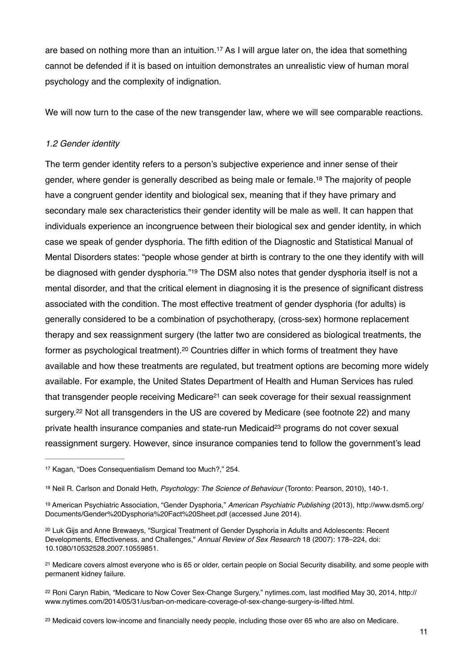are based on nothing more than an intuition.<sup>17</sup> As I will argue later on, the idea that something cannot be defended if it is based on intuition demonstrates an unrealistic view of human moral psychology and the complexity of indignation.

We will now turn to the case of the new transgender law, where we will see comparable reactions.

# *1.2 Gender identity*

The term gender identity refers to a person's subjective experience and inner sense of their gender, where gender is generally described as being male or female.<sup>18</sup> The majority of people have a congruent gender identity and biological sex, meaning that if they have primary and secondary male sex characteristics their gender identity will be male as well. It can happen that individuals experience an incongruence between their biological sex and gender identity, in which case we speak of gender dysphoria. The fifth edition of the Diagnostic and Statistical Manual of Mental Disorders states: "people whose gender at birth is contrary to the one they identify with will be diagnosed with gender dysphoria."<sup>19</sup> The DSM also notes that gender dysphoria itself is not a mental disorder, and that the critical element in diagnosing it is the presence of significant distress associated with the condition. The most effective treatment of gender dysphoria (for adults) is generally considered to be a combination of psychotherapy, (cross-sex) hormone replacement therapy and sex reassignment surgery (the latter two are considered as biological treatments, the former as psychological treatment).<sup>20</sup> Countries differ in which forms of treatment they have available and how these treatments are regulated, but treatment options are becoming more widely available. For example, the United States Department of Health and Human Services has ruled that transgender people receiving Medicare<sup>21</sup> can seek coverage for their sexual reassignment surgery.<sup>22</sup> Not all transgenders in the US are covered by Medicare (see footnote 22) and many private health insurance companies and state-run Medicaid $23$  programs do not cover sexual reassignment surgery. However, since insurance companies tend to follow the government's lead

<sup>&</sup>lt;sup>17</sup> Kagan, "Does Consequentialism Demand too Much?," 254.

<sup>&</sup>lt;sup>18</sup> Neil R. Carlson and Donald Heth, *Psychology: The Science of Behaviour* (Toronto: Pearson, 2010), 140-1.

American Psychiatric Association, "Gender Dysphoria," *American Psychiatric Publishing* (2013), http://www.dsm5.org/ <sup>19</sup> Documents/Gender%20Dysphoria%20Fact%20Sheet.pdf (accessed June 2014).

<sup>&</sup>lt;sup>20</sup> Luk Gijs and Anne Brewaeys, "Surgical Treatment of Gender Dysphoria in Adults and Adolescents: Recent Developments, Effectiveness, and Challenges," *Annual Review of Sex Research* 18 (2007): 178–224, doi: 10.1080/10532528.2007.10559851.

<sup>&</sup>lt;sup>21</sup> Medicare covers almost everyone who is 65 or older, certain people on Social Security disability, and some people with permanent kidney failure.

<sup>&</sup>lt;sup>22</sup> Roni Caryn Rabin, "Medicare to Now Cover Sex-Change Surgery," nytimes.com, last modified May 30, 2014, http:// www.nytimes.com/2014/05/31/us/ban-on-medicare-coverage-of-sex-change-surgery-is-lifted.html.

<sup>&</sup>lt;sup>23</sup> Medicaid covers low-income and financially needy people, including those over 65 who are also on Medicare.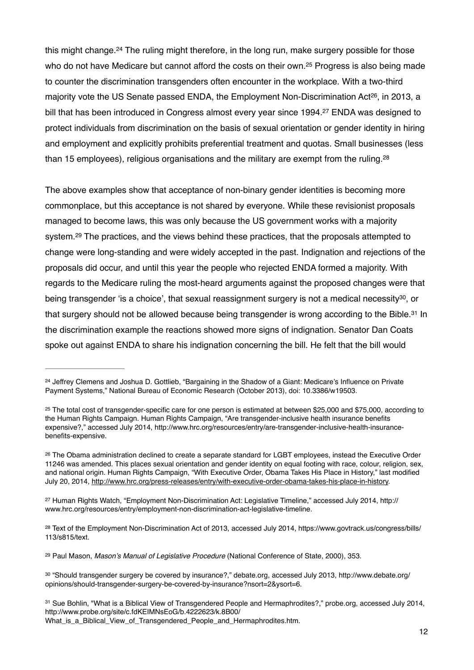this might change.  $24$  The ruling might therefore, in the long run, make surgery possible for those who do not have Medicare but cannot afford the costs on their own.<sup>25</sup> Progress is also being made to counter the discrimination transgenders often encounter in the workplace. With a two-third majority vote the US Senate passed ENDA, the Employment Non-Discrimination Act<sup>26</sup>, in 2013, a bill that has been introduced in Congress almost every year since 1994.<sup>27</sup> ENDA was designed to protect individuals from discrimination on the basis of sexual orientation or gender identity in hiring and employment and explicitly prohibits preferential treatment and quotas. Small businesses (less than 15 employees), religious organisations and the military are exempt from the ruling.28

The above examples show that acceptance of non-binary gender identities is becoming more commonplace, but this acceptance is not shared by everyone. While these revisionist proposals managed to become laws, this was only because the US government works with a majority system.<sup>29</sup> The practices, and the views behind these practices, that the proposals attempted to change were long-standing and were widely accepted in the past. Indignation and rejections of the proposals did occur, and until this year the people who rejected ENDA formed a majority. With regards to the Medicare ruling the most-heard arguments against the proposed changes were that being transgender 'is a choice', that sexual reassignment surgery is not a medical necessity<sup>30</sup>, or that surgery should not be allowed because being transgender is wrong according to the Bible.<sup>31</sup> In the discrimination example the reactions showed more signs of indignation. Senator Dan Coats spoke out against ENDA to share his indignation concerning the bill. He felt that the bill would

<sup>27</sup> Human Rights Watch, "Employment Non-Discrimination Act: Legislative Timeline," accessed July 2014, http:// www.hrc.org/resources/entry/employment-non-discrimination-act-legislative-timeline.

<sup>28</sup> Text of the Employment Non-Discrimination Act of 2013, accessed July 2014, https://www.govtrack.us/congress/bills/ 113/s815/text.

<sup>29</sup> Paul Mason, *Mason's Manual of Legislative Procedure* (National Conference of State, 2000), 353.

<sup>&</sup>lt;sup>24</sup> Jeffrey Clemens and Joshua D. Gottlieb, "Bargaining in the Shadow of a Giant: Medicare's Influence on Private Payment Systems," National Bureau of Economic Research (October 2013), doi: 10.3386/w19503.

<sup>&</sup>lt;sup>25</sup> The total cost of transgender-specific care for one person is estimated at between \$25,000 and \$75,000, according to the Human Rights Campaign. Human Rights Campaign, "Are transgender-inclusive health insurance benefits expensive?," accessed July 2014, http://www.hrc.org/resources/entry/are-transgender-inclusive-health-insurancebenefits-expensive.

<sup>26</sup> The Obama administration declined to create a separate standard for LGBT employees, instead the Executive Order 11246 was amended. This places sexual orientation and gender identity on equal footing with race, colour, religion, sex, and national origin. Human Rights Campaign, "With Executive Order, Obama Takes His Place in History," last modified July 20, 2014, [http://www.hrc.org/press-releases/entry/with-executive-order-obama-takes-his-place-in-history.](http://www.hrc.org/press-releases/entry/with-executive-order-obama-takes-his-place-in-history)

 <sup>&</sup>quot;Should transgender surgery be covered by insurance?," debate.org, accessed July 2013, http://www.debate.org/ <sup>30</sup> opinions/should-transgender-surgery-be-covered-by-insurance?nsort=2&ysort=6.

<sup>&</sup>lt;sup>31</sup> Sue Bohlin, "What is a Biblical View of Transgendered People and Hermaphrodites?," probe.org, accessed July 2014, http://www.probe.org/site/c.fdKEIMNsEoG/b.4222623/k.8B00/ What\_is\_a\_Biblical\_View\_of\_Transgendered\_People\_and\_Hermaphrodites.htm.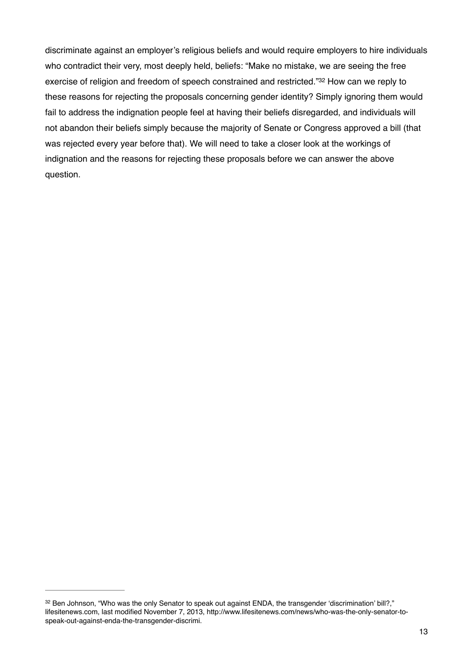discriminate against an employer's religious beliefs and would require employers to hire individuals who contradict their very, most deeply held, beliefs: "Make no mistake, we are seeing the free exercise of religion and freedom of speech constrained and restricted."32 How can we reply to these reasons for rejecting the proposals concerning gender identity? Simply ignoring them would fail to address the indignation people feel at having their beliefs disregarded, and individuals will not abandon their beliefs simply because the majority of Senate or Congress approved a bill (that was rejected every year before that). We will need to take a closer look at the workings of indignation and the reasons for rejecting these proposals before we can answer the above question.

<sup>&</sup>lt;sup>32</sup> Ben Johnson, "Who was the only Senator to speak out against ENDA, the transgender 'discrimination' bill?," lifesitenews.com, last modified November 7, 2013, http://www.lifesitenews.com/news/who-was-the-only-senator-tospeak-out-against-enda-the-transgender-discrimi.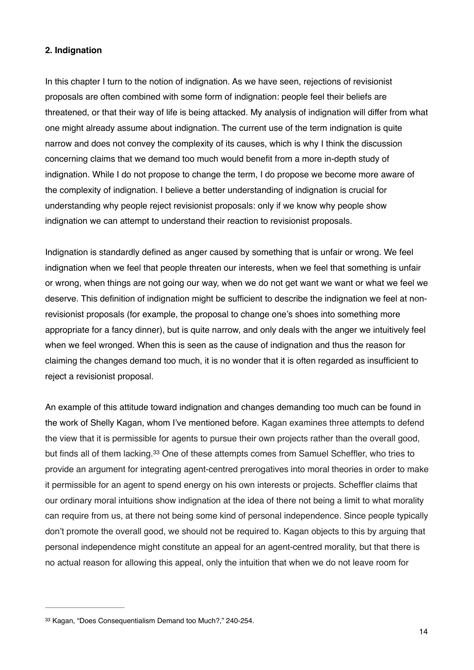## **2. Indignation**

In this chapter I turn to the notion of indignation. As we have seen, rejections of revisionist proposals are often combined with some form of indignation: people feel their beliefs are threatened, or that their way of life is being attacked. My analysis of indignation will differ from what one might already assume about indignation. The current use of the term indignation is quite narrow and does not convey the complexity of its causes, which is why I think the discussion concerning claims that we demand too much would benefit from a more in-depth study of indignation. While I do not propose to change the term, I do propose we become more aware of the complexity of indignation. I believe a better understanding of indignation is crucial for understanding why people reject revisionist proposals: only if we know why people show indignation we can attempt to understand their reaction to revisionist proposals.

Indignation is standardly defined as anger caused by something that is unfair or wrong. We feel indignation when we feel that people threaten our interests, when we feel that something is unfair or wrong, when things are not going our way, when we do not get want we want or what we feel we deserve. This definition of indignation might be sufficient to describe the indignation we feel at nonrevisionist proposals (for example, the proposal to change one's shoes into something more appropriate for a fancy dinner), but is quite narrow, and only deals with the anger we intuitively feel when we feel wronged. When this is seen as the cause of indignation and thus the reason for claiming the changes demand too much, it is no wonder that it is often regarded as insufficient to reject a revisionist proposal.

An example of this attitude toward indignation and changes demanding too much can be found in the work of Shelly Kagan, whom I've mentioned before. Kagan examines three attempts to defend the view that it is permissible for agents to pursue their own projects rather than the overall good, but finds all of them lacking.<sup>33</sup> One of these attempts comes from Samuel Scheffler, who tries to provide an argument for integrating agent-centred prerogatives into moral theories in order to make it permissible for an agent to spend energy on his own interests or projects. Scheffler claims that our ordinary moral intuitions show indignation at the idea of there not being a limit to what morality can require from us, at there not being some kind of personal independence. Since people typically don't promote the overall good, we should not be required to. Kagan objects to this by arguing that personal independence might constitute an appeal for an agent-centred morality, but that there is no actual reason for allowing this appeal, only the intuition that when we do not leave room for

<sup>33</sup> Kagan, "Does Consequentialism Demand too Much?," 240-254.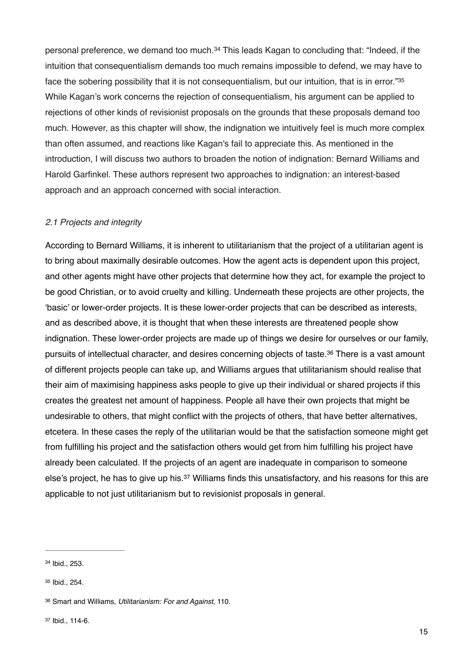personal preference, we demand too much.<sup>34</sup> This leads Kagan to concluding that: "Indeed, if the intuition that consequentialism demands too much remains impossible to defend, we may have to face the sobering possibility that it is not consequentialism, but our intuition, that is in error."35 While Kagan's work concerns the rejection of consequentialism, his argument can be applied to rejections of other kinds of revisionist proposals on the grounds that these proposals demand too much. However, as this chapter will show, the indignation we intuitively feel is much more complex than often assumed, and reactions like Kagan's fail to appreciate this. As mentioned in the introduction, I will discuss two authors to broaden the notion of indignation: Bernard Williams and Harold Garfinkel. These authors represent two approaches to indignation: an interest-based approach and an approach concerned with social interaction.

# *2.1 Projects and integrity*

According to Bernard Williams, it is inherent to utilitarianism that the project of a utilitarian agent is to bring about maximally desirable outcomes. How the agent acts is dependent upon this project, and other agents might have other projects that determine how they act, for example the project to be good Christian, or to avoid cruelty and killing. Underneath these projects are other projects, the 'basic' or lower-order projects. It is these lower-order projects that can be described as interests, and as described above, it is thought that when these interests are threatened people show indignation. These lower-order projects are made up of things we desire for ourselves or our family, pursuits of intellectual character, and desires concerning objects of taste.<sup>36</sup> There is a vast amount of different projects people can take up, and Williams argues that utilitarianism should realise that their aim of maximising happiness asks people to give up their individual or shared projects if this creates the greatest net amount of happiness. People all have their own projects that might be undesirable to others, that might conflict with the projects of others, that have better alternatives, etcetera. In these cases the reply of the utilitarian would be that the satisfaction someone might get from fulfilling his project and the satisfaction others would get from him fulfilling his project have already been calculated. If the projects of an agent are inadequate in comparison to someone else's project, he has to give up his.<sup>37</sup> Williams finds this unsatisfactory, and his reasons for this are applicable to not just utilitarianism but to revisionist proposals in general.

<sup>34</sup> Ibid., 253.

<sup>35</sup> Ibid., 254.

Smart and Williams, *Utilitarianism: For and Against*, 110. <sup>36</sup>

<sup>37</sup> Ibid., 114-6.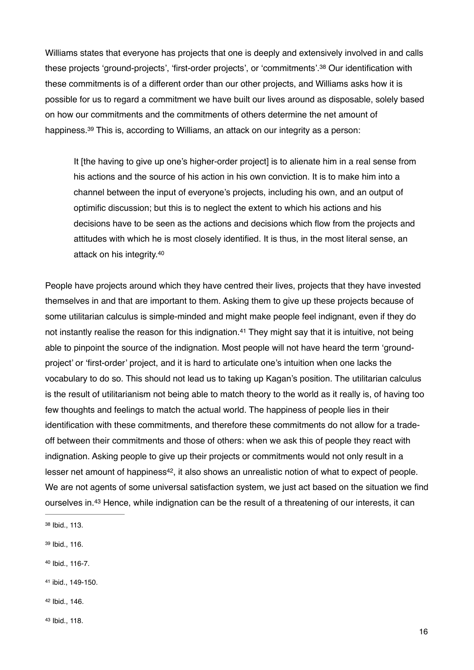Williams states that everyone has projects that one is deeply and extensively involved in and calls these projects 'ground-projects', 'first-order projects', or 'commitments'.<sup>38</sup> Our identification with these commitments is of a different order than our other projects, and Williams asks how it is possible for us to regard a commitment we have built our lives around as disposable, solely based on how our commitments and the commitments of others determine the net amount of happiness.<sup>39</sup> This is, according to Williams, an attack on our integrity as a person:

It [the having to give up one's higher-order project] is to alienate him in a real sense from his actions and the source of his action in his own conviction. It is to make him into a channel between the input of everyone's projects, including his own, and an output of optimific discussion; but this is to neglect the extent to which his actions and his decisions have to be seen as the actions and decisions which flow from the projects and attitudes with which he is most closely identified. It is thus, in the most literal sense, an attack on his integrity.40

People have projects around which they have centred their lives, projects that they have invested themselves in and that are important to them. Asking them to give up these projects because of some utilitarian calculus is simple-minded and might make people feel indignant, even if they do not instantly realise the reason for this indignation. $41$  They might say that it is intuitive, not being able to pinpoint the source of the indignation. Most people will not have heard the term 'groundproject' or 'first-order' project, and it is hard to articulate one's intuition when one lacks the vocabulary to do so. This should not lead us to taking up Kagan's position. The utilitarian calculus is the result of utilitarianism not being able to match theory to the world as it really is, of having too few thoughts and feelings to match the actual world. The happiness of people lies in their identification with these commitments, and therefore these commitments do not allow for a tradeoff between their commitments and those of others: when we ask this of people they react with indignation. Asking people to give up their projects or commitments would not only result in a lesser net amount of happiness<sup>42</sup>, it also shows an unrealistic notion of what to expect of people. We are not agents of some universal satisfaction system, we just act based on the situation we find ourselves in.<sup>43</sup> Hence, while indignation can be the result of a threatening of our interests, it can

- 38 Ibid., 113.
- 39 Ibid., 116.
- 40 Ibid., 116-7.
- 41 ibid., 149-150.
- 42 Ibid., 146.
- 43 Ibid., 118.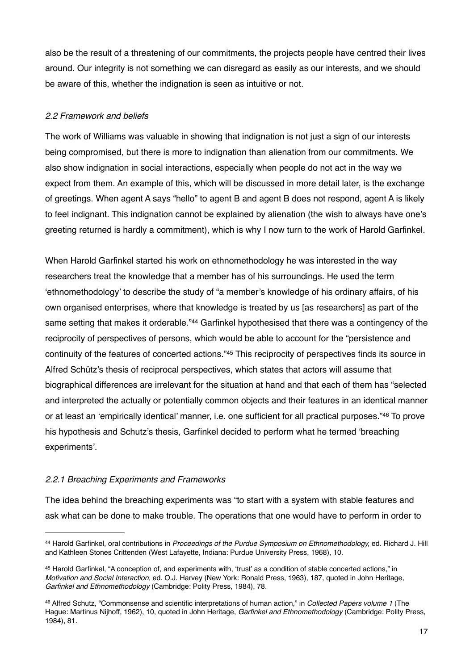also be the result of a threatening of our commitments, the projects people have centred their lives around. Our integrity is not something we can disregard as easily as our interests, and we should be aware of this, whether the indignation is seen as intuitive or not.

# *2.2 Framework and beliefs*

The work of Williams was valuable in showing that indignation is not just a sign of our interests being compromised, but there is more to indignation than alienation from our commitments. We also show indignation in social interactions, especially when people do not act in the way we expect from them. An example of this, which will be discussed in more detail later, is the exchange of greetings. When agent A says "hello" to agent B and agent B does not respond, agent A is likely to feel indignant. This indignation cannot be explained by alienation (the wish to always have one's greeting returned is hardly a commitment), which is why I now turn to the work of Harold Garfinkel.

When Harold Garfinkel started his work on ethnomethodology he was interested in the way researchers treat the knowledge that a member has of his surroundings. He used the term 'ethnomethodology' to describe the study of "a member's knowledge of his ordinary affairs, of his own organised enterprises, where that knowledge is treated by us [as researchers] as part of the same setting that makes it orderable."<sup>44</sup> Garfinkel hypothesised that there was a contingency of the reciprocity of perspectives of persons, which would be able to account for the "persistence and continuity of the features of concerted actions."<sup>45</sup> This reciprocity of perspectives finds its source in Alfred Schütz's thesis of reciprocal perspectives, which states that actors will assume that biographical differences are irrelevant for the situation at hand and that each of them has "selected and interpreted the actually or potentially common objects and their features in an identical manner or at least an 'empirically identical' manner, i.e. one sufficient for all practical purposes."46 To prove his hypothesis and Schutz's thesis, Garfinkel decided to perform what he termed 'breaching experiments'.

## *2.2.1 Breaching Experiments and Frameworks*

The idea behind the breaching experiments was "to start with a system with stable features and ask what can be done to make trouble. The operations that one would have to perform in order to

Harold Garfinkel, oral contributions in *Proceedings of the Purdue Symposium on Ethnomethodology,* ed. Richard J. Hill 44 and Kathleen Stones Crittenden (West Lafayette, Indiana: Purdue University Press, 1968), 10.

<sup>45</sup> Harold Garfinkel, "A conception of, and experiments with, 'trust' as a condition of stable concerted actions," in *Motivation and Social Interaction,* ed. O.J. Harvey (New York: Ronald Press, 1963), 187, quoted in John Heritage, *Garfinkel and Ethnomethodology* (Cambridge: Polity Press, 1984), 78.

Alfred Schutz, "Commonsense and scientific interpretations of human action," in *Collected Papers volume 1* (The 46 Hague: Martinus Nijhoff, 1962), 10, quoted in John Heritage, *Garfinkel and Ethnomethodology* (Cambridge: Polity Press, 1984), 81.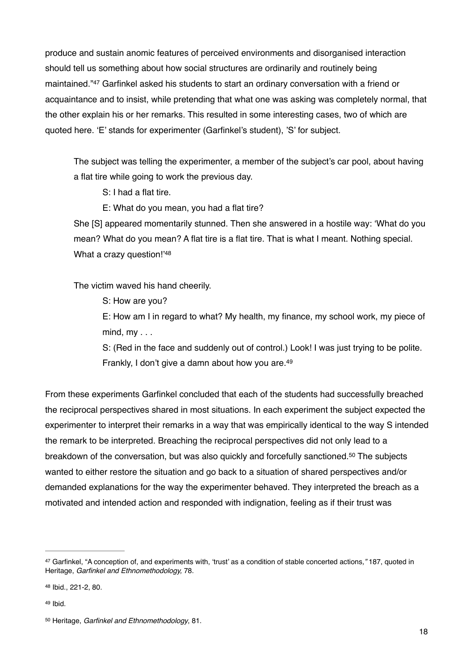produce and sustain anomic features of perceived environments and disorganised interaction should tell us something about how social structures are ordinarily and routinely being maintained."<sup>47</sup> Garfinkel asked his students to start an ordinary conversation with a friend or acquaintance and to insist, while pretending that what one was asking was completely normal, that the other explain his or her remarks. This resulted in some interesting cases, two of which are quoted here. 'E' stands for experimenter (Garfinkel's student), 'S' for subject.

The subject was telling the experimenter, a member of the subject's car pool, about having a flat tire while going to work the previous day.

S: I had a flat tire.

E: What do you mean, you had a flat tire?

She [S] appeared momentarily stunned. Then she answered in a hostile way: 'What do you mean? What do you mean? A flat tire is a flat tire. That is what I meant. Nothing special. What a crazy question!'48

The victim waved his hand cheerily.

S: How are you?

E: How am I in regard to what? My health, my finance, my school work, my piece of  $mind, my...$ 

S: (Red in the face and suddenly out of control.) Look! I was just trying to be polite. Frankly, I don't give a damn about how you are.<sup>49</sup>

From these experiments Garfinkel concluded that each of the students had successfully breached the reciprocal perspectives shared in most situations. In each experiment the subject expected the experimenter to interpret their remarks in a way that was empirically identical to the way S intended the remark to be interpreted. Breaching the reciprocal perspectives did not only lead to a breakdown of the conversation, but was also quickly and forcefully sanctioned.<sup>50</sup> The subjects wanted to either restore the situation and go back to a situation of shared perspectives and/or demanded explanations for the way the experimenter behaved. They interpreted the breach as a motivated and intended action and responded with indignation, feeling as if their trust was

Garfinkel, "A conception of, and experiments with, 'trust' as a condition of stable concerted actions*,"* 187, quoted in 47 Heritage, *Garfinkel and Ethnomethodology,* 78.

<sup>48</sup> Ibid., 221-2, 80.

<sup>49</sup> Ibid.

<sup>&</sup>lt;sup>50</sup> Heritage, *Garfinkel and Ethnomethodology*, 81.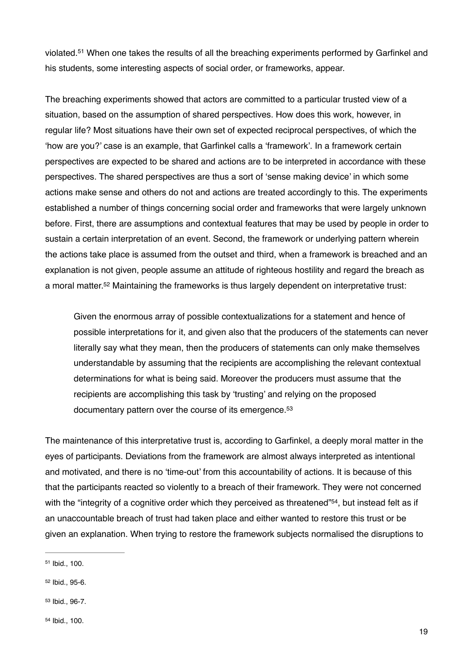violated.<sup>51</sup> When one takes the results of all the breaching experiments performed by Garfinkel and his students, some interesting aspects of social order, or frameworks, appear.

The breaching experiments showed that actors are committed to a particular trusted view of a situation, based on the assumption of shared perspectives. How does this work, however, in regular life? Most situations have their own set of expected reciprocal perspectives, of which the 'how are you?' case is an example, that Garfinkel calls a 'framework'. In a framework certain perspectives are expected to be shared and actions are to be interpreted in accordance with these perspectives. The shared perspectives are thus a sort of 'sense making device' in which some actions make sense and others do not and actions are treated accordingly to this. The experiments established a number of things concerning social order and frameworks that were largely unknown before. First, there are assumptions and contextual features that may be used by people in order to sustain a certain interpretation of an event. Second, the framework or underlying pattern wherein the actions take place is assumed from the outset and third, when a framework is breached and an explanation is not given, people assume an attitude of righteous hostility and regard the breach as a moral matter.<sup>52</sup> Maintaining the frameworks is thus largely dependent on interpretative trust:

Given the enormous array of possible contextualizations for a statement and hence of possible interpretations for it, and given also that the producers of the statements can never literally say what they mean, then the producers of statements can only make themselves understandable by assuming that the recipients are accomplishing the relevant contextual determinations for what is being said. Moreover the producers must assume that the recipients are accomplishing this task by 'trusting' and relying on the proposed documentary pattern over the course of its emergence.<sup>53</sup>

The maintenance of this interpretative trust is, according to Garfinkel, a deeply moral matter in the eyes of participants. Deviations from the framework are almost always interpreted as intentional and motivated, and there is no 'time-out' from this accountability of actions. It is because of this that the participants reacted so violently to a breach of their framework. They were not concerned with the "integrity of a cognitive order which they perceived as threatened"<sup>54</sup>, but instead felt as if an unaccountable breach of trust had taken place and either wanted to restore this trust or be given an explanation. When trying to restore the framework subjects normalised the disruptions to

 $51$  Ibid., 100.

<sup>52</sup> Ibid., 95-6.

<sup>53</sup> Ibid., 96-7.

<sup>54</sup> Ibid., 100.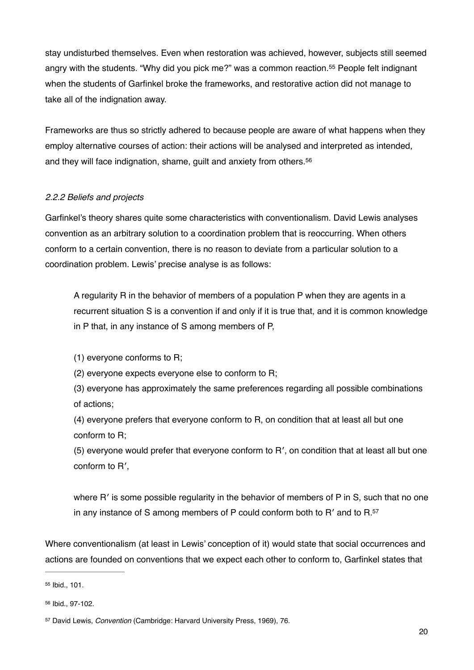stay undisturbed themselves. Even when restoration was achieved, however, subjects still seemed angry with the students. "Why did you pick me?" was a common reaction.<sup>55</sup> People felt indignant when the students of Garfinkel broke the frameworks, and restorative action did not manage to take all of the indignation away.

Frameworks are thus so strictly adhered to because people are aware of what happens when they employ alternative courses of action: their actions will be analysed and interpreted as intended, and they will face indignation, shame, guilt and anxiety from others.56

## *2.2.2 Beliefs and projects*

Garfinkel's theory shares quite some characteristics with conventionalism. David Lewis analyses convention as an arbitrary solution to a coordination problem that is reoccurring. When others conform to a certain convention, there is no reason to deviate from a particular solution to a coordination problem. Lewis' precise analyse is as follows:

A regularity R in the behavior of members of a population P when they are agents in a recurrent situation S is a convention if and only if it is true that, and it is common knowledge in P that, in any instance of S among members of P,

(1) everyone conforms to R;

(2) everyone expects everyone else to conform to R;

(3) everyone has approximately the same preferences regarding all possible combinations of actions;

(4) everyone prefers that everyone conform to R, on condition that at least all but one conform to R;

(5) everyone would prefer that everyone conform to R′, on condition that at least all but one conform to R′,

where R' is some possible regularity in the behavior of members of P in S, such that no one in any instance of S among members of P could conform both to R′ and to R.57

Where conventionalism (at least in Lewis' conception of it) would state that social occurrences and actions are founded on conventions that we expect each other to conform to, Garfinkel states that

55 Ibid., 101.

<sup>56</sup> Ibid., 97-102.

<sup>&</sup>lt;sup>57</sup> David Lewis, *Convention* (Cambridge: Harvard University Press, 1969), 76.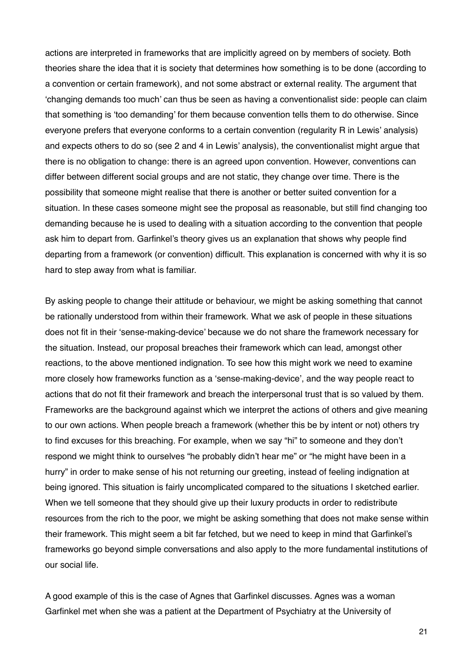actions are interpreted in frameworks that are implicitly agreed on by members of society. Both theories share the idea that it is society that determines how something is to be done (according to a convention or certain framework), and not some abstract or external reality. The argument that 'changing demands too much' can thus be seen as having a conventionalist side: people can claim that something is 'too demanding' for them because convention tells them to do otherwise. Since everyone prefers that everyone conforms to a certain convention (regularity R in Lewis' analysis) and expects others to do so (see 2 and 4 in Lewis' analysis), the conventionalist might argue that there is no obligation to change: there is an agreed upon convention. However, conventions can differ between different social groups and are not static, they change over time. There is the possibility that someone might realise that there is another or better suited convention for a situation. In these cases someone might see the proposal as reasonable, but still find changing too demanding because he is used to dealing with a situation according to the convention that people ask him to depart from. Garfinkel's theory gives us an explanation that shows why people find departing from a framework (or convention) difficult. This explanation is concerned with why it is so hard to step away from what is familiar.

By asking people to change their attitude or behaviour, we might be asking something that cannot be rationally understood from within their framework. What we ask of people in these situations does not fit in their 'sense-making-device' because we do not share the framework necessary for the situation. Instead, our proposal breaches their framework which can lead, amongst other reactions, to the above mentioned indignation. To see how this might work we need to examine more closely how frameworks function as a 'sense-making-device', and the way people react to actions that do not fit their framework and breach the interpersonal trust that is so valued by them. Frameworks are the background against which we interpret the actions of others and give meaning to our own actions. When people breach a framework (whether this be by intent or not) others try to find excuses for this breaching. For example, when we say "hi" to someone and they don't respond we might think to ourselves "he probably didn't hear me" or "he might have been in a hurry" in order to make sense of his not returning our greeting, instead of feeling indignation at being ignored. This situation is fairly uncomplicated compared to the situations I sketched earlier. When we tell someone that they should give up their luxury products in order to redistribute resources from the rich to the poor, we might be asking something that does not make sense within their framework. This might seem a bit far fetched, but we need to keep in mind that Garfinkel's frameworks go beyond simple conversations and also apply to the more fundamental institutions of our social life.

A good example of this is the case of Agnes that Garfinkel discusses. Agnes was a woman Garfinkel met when she was a patient at the Department of Psychiatry at the University of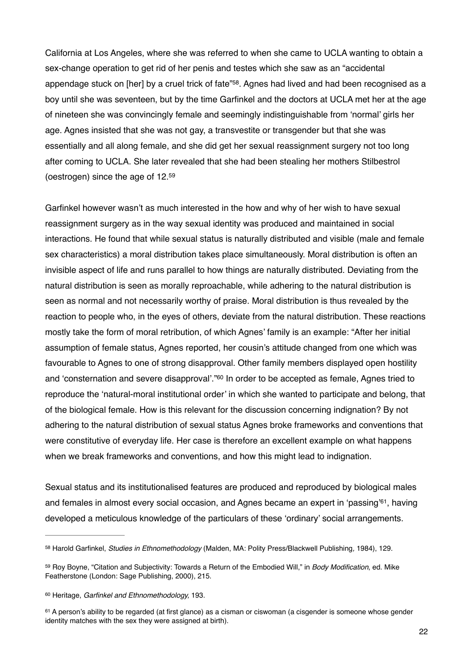California at Los Angeles, where she was referred to when she came to UCLA wanting to obtain a sex-change operation to get rid of her penis and testes which she saw as an "accidental appendage stuck on [her] by a cruel trick of fate"<sup>58</sup>. Agnes had lived and had been recognised as a boy until she was seventeen, but by the time Garfinkel and the doctors at UCLA met her at the age of nineteen she was convincingly female and seemingly indistinguishable from 'normal' girls her age. Agnes insisted that she was not gay, a transvestite or transgender but that she was essentially and all along female, and she did get her sexual reassignment surgery not too long after coming to UCLA. She later revealed that she had been stealing her mothers Stilbestrol (oestrogen) since the age of 12.59

Garfinkel however wasn't as much interested in the how and why of her wish to have sexual reassignment surgery as in the way sexual identity was produced and maintained in social interactions. He found that while sexual status is naturally distributed and visible (male and female sex characteristics) a moral distribution takes place simultaneously. Moral distribution is often an invisible aspect of life and runs parallel to how things are naturally distributed. Deviating from the natural distribution is seen as morally reproachable, while adhering to the natural distribution is seen as normal and not necessarily worthy of praise. Moral distribution is thus revealed by the reaction to people who, in the eyes of others, deviate from the natural distribution. These reactions mostly take the form of moral retribution, of which Agnes' family is an example: "After her initial assumption of female status, Agnes reported, her cousin's attitude changed from one which was favourable to Agnes to one of strong disapproval. Other family members displayed open hostility and 'consternation and severe disapproval'."<sup>60</sup> In order to be accepted as female, Agnes tried to reproduce the 'natural-moral institutional order' in which she wanted to participate and belong, that of the biological female. How is this relevant for the discussion concerning indignation? By not adhering to the natural distribution of sexual status Agnes broke frameworks and conventions that were constitutive of everyday life. Her case is therefore an excellent example on what happens when we break frameworks and conventions, and how this might lead to indignation.

Sexual status and its institutionalised features are produced and reproduced by biological males and females in almost every social occasion, and Agnes became an expert in 'passing'<sup>61</sup>, having developed a meticulous knowledge of the particulars of these 'ordinary' social arrangements.

<sup>58</sup> Harold Garfinkel, *Studies in Ethnomethodology* (Malden, MA: Polity Press/Blackwell Publishing, 1984), 129.

<sup>59</sup> Roy Boyne, "Citation and Subjectivity: Towards a Return of the Embodied Will," in *Body Modification*, ed. Mike Featherstone (London: Sage Publishing, 2000), 215.

<sup>&</sup>lt;sup>60</sup> Heritage, *Garfinkel and Ethnomethodology*, 193.

<sup>61</sup> A person's ability to be regarded (at first glance) as a cisman or ciswoman (a cisgender is someone whose gender identity matches with the sex they were assigned at birth).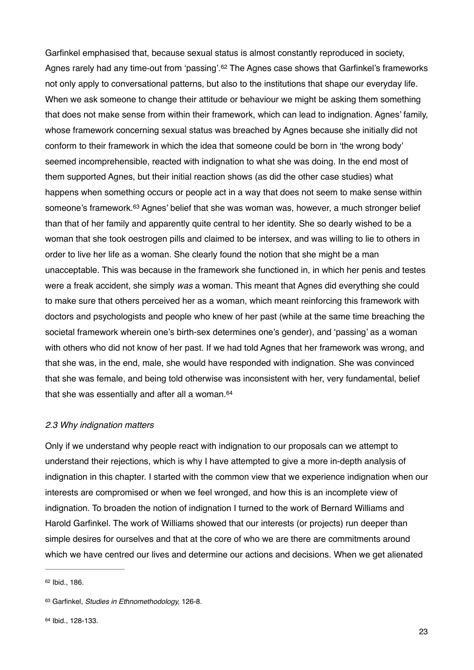Garfinkel emphasised that, because sexual status is almost constantly reproduced in society, Agnes rarely had any time-out from 'passing'.<sup>62</sup> The Agnes case shows that Garfinkel's frameworks not only apply to conversational patterns, but also to the institutions that shape our everyday life. When we ask someone to change their attitude or behaviour we might be asking them something that does not make sense from within their framework, which can lead to indignation. Agnes' family, whose framework concerning sexual status was breached by Agnes because she initially did not conform to their framework in which the idea that someone could be born in 'the wrong body' seemed incomprehensible, reacted with indignation to what she was doing. In the end most of them supported Agnes, but their initial reaction shows (as did the other case studies) what happens when something occurs or people act in a way that does not seem to make sense within someone's framework.<sup>63</sup> Agnes' belief that she was woman was, however, a much stronger belief than that of her family and apparently quite central to her identity. She so dearly wished to be a woman that she took oestrogen pills and claimed to be intersex, and was willing to lie to others in order to live her life as a woman. She clearly found the notion that she might be a man unacceptable. This was because in the framework she functioned in, in which her penis and testes were a freak accident, she simply *was* a woman. This meant that Agnes did everything she could to make sure that others perceived her as a woman, which meant reinforcing this framework with doctors and psychologists and people who knew of her past (while at the same time breaching the societal framework wherein one's birth-sex determines one's gender), and 'passing' as a woman with others who did not know of her past. If we had told Agnes that her framework was wrong, and that she was, in the end, male, she would have responded with indignation. She was convinced that she was female, and being told otherwise was inconsistent with her, very fundamental, belief that she was essentially and after all a woman.<sup>64</sup>

#### *2.3 Why indignation matters*

Only if we understand why people react with indignation to our proposals can we attempt to understand their rejections, which is why I have attempted to give a more in-depth analysis of indignation in this chapter. I started with the common view that we experience indignation when our interests are compromised or when we feel wronged, and how this is an incomplete view of indignation. To broaden the notion of indignation I turned to the work of Bernard Williams and Harold Garfinkel. The work of Williams showed that our interests (or projects) run deeper than simple desires for ourselves and that at the core of who we are there are commitments around which we have centred our lives and determine our actions and decisions. When we get alienated

 $62$  Ibid., 186.

<sup>63</sup> Garfinkel, *Studies in Ethnomethodology*, 126-8.

<sup>64</sup> Ibid., 128-133.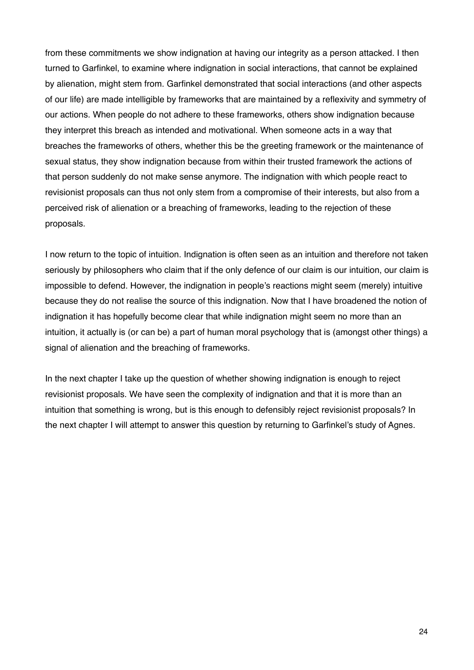from these commitments we show indignation at having our integrity as a person attacked. I then turned to Garfinkel, to examine where indignation in social interactions, that cannot be explained by alienation, might stem from. Garfinkel demonstrated that social interactions (and other aspects of our life) are made intelligible by frameworks that are maintained by a reflexivity and symmetry of our actions. When people do not adhere to these frameworks, others show indignation because they interpret this breach as intended and motivational. When someone acts in a way that breaches the frameworks of others, whether this be the greeting framework or the maintenance of sexual status, they show indignation because from within their trusted framework the actions of that person suddenly do not make sense anymore. The indignation with which people react to revisionist proposals can thus not only stem from a compromise of their interests, but also from a perceived risk of alienation or a breaching of frameworks, leading to the rejection of these proposals.

I now return to the topic of intuition. Indignation is often seen as an intuition and therefore not taken seriously by philosophers who claim that if the only defence of our claim is our intuition, our claim is impossible to defend. However, the indignation in people's reactions might seem (merely) intuitive because they do not realise the source of this indignation. Now that I have broadened the notion of indignation it has hopefully become clear that while indignation might seem no more than an intuition, it actually is (or can be) a part of human moral psychology that is (amongst other things) a signal of alienation and the breaching of frameworks.

In the next chapter I take up the question of whether showing indignation is enough to reject revisionist proposals. We have seen the complexity of indignation and that it is more than an intuition that something is wrong, but is this enough to defensibly reject revisionist proposals? In the next chapter I will attempt to answer this question by returning to Garfinkel's study of Agnes.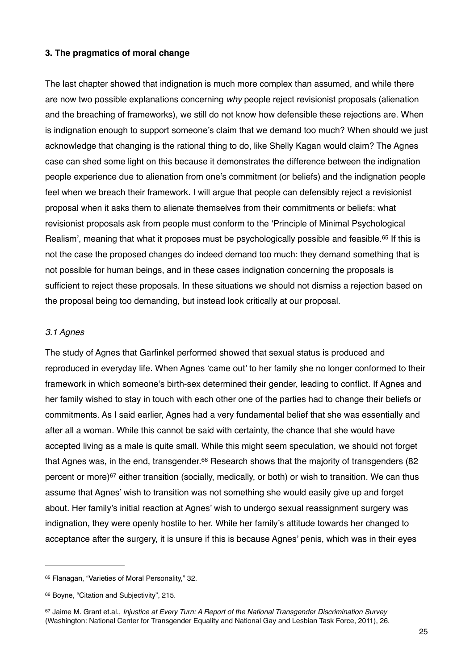#### **3. The pragmatics of moral change**

The last chapter showed that indignation is much more complex than assumed, and while there are now two possible explanations concerning *why* people reject revisionist proposals (alienation and the breaching of frameworks), we still do not know how defensible these rejections are. When is indignation enough to support someone's claim that we demand too much? When should we just acknowledge that changing is the rational thing to do, like Shelly Kagan would claim? The Agnes case can shed some light on this because it demonstrates the difference between the indignation people experience due to alienation from one's commitment (or beliefs) and the indignation people feel when we breach their framework. I will argue that people can defensibly reject a revisionist proposal when it asks them to alienate themselves from their commitments or beliefs: what revisionist proposals ask from people must conform to the 'Principle of Minimal Psychological Realism', meaning that what it proposes must be psychologically possible and feasible.<sup>65</sup> If this is not the case the proposed changes do indeed demand too much: they demand something that is not possible for human beings, and in these cases indignation concerning the proposals is sufficient to reject these proposals. In these situations we should not dismiss a rejection based on the proposal being too demanding, but instead look critically at our proposal.

#### *3.1 Agnes*

The study of Agnes that Garfinkel performed showed that sexual status is produced and reproduced in everyday life. When Agnes 'came out' to her family she no longer conformed to their framework in which someone's birth-sex determined their gender, leading to conflict. If Agnes and her family wished to stay in touch with each other one of the parties had to change their beliefs or commitments. As I said earlier, Agnes had a very fundamental belief that she was essentially and after all a woman. While this cannot be said with certainty, the chance that she would have accepted living as a male is quite small. While this might seem speculation, we should not forget that Agnes was, in the end, transgender. $66$  Research shows that the majority of transgenders (82 percent or more) $67$  either transition (socially, medically, or both) or wish to transition. We can thus assume that Agnes' wish to transition was not something she would easily give up and forget about. Her family's initial reaction at Agnes' wish to undergo sexual reassignment surgery was indignation, they were openly hostile to her. While her family's attitude towards her changed to acceptance after the surgery, it is unsure if this is because Agnes' penis, which was in their eyes

<sup>65</sup> Flanagan, "Varieties of Moral Personality," 32.

<sup>66</sup> Boyne, "Citation and Subjectivity", 215.

<sup>&</sup>lt;sup>67</sup> Jaime M. Grant et.al., *Injustice at Every Turn: A Report of the National Transgender Discrimination Survey* (Washington: National Center for Transgender Equality and National Gay and Lesbian Task Force, 2011), 26.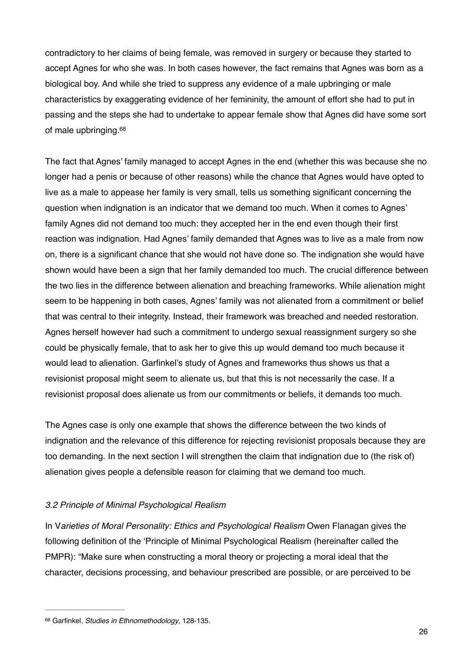contradictory to her claims of being female, was removed in surgery or because they started to accept Agnes for who she was. In both cases however, the fact remains that Agnes was born as a biological boy. And while she tried to suppress any evidence of a male upbringing or male characteristics by exaggerating evidence of her femininity, the amount of effort she had to put in passing and the steps she had to undertake to appear female show that Agnes did have some sort of male upbringing.68

The fact that Agnes' family managed to accept Agnes in the end (whether this was because she no longer had a penis or because of other reasons) while the chance that Agnes would have opted to live as a male to appease her family is very small, tells us something significant concerning the question when indignation is an indicator that we demand too much. When it comes to Agnes' family Agnes did not demand too much: they accepted her in the end even though their first reaction was indignation. Had Agnes' family demanded that Agnes was to live as a male from now on, there is a significant chance that she would not have done so. The indignation she would have shown would have been a sign that her family demanded too much. The crucial difference between the two lies in the difference between alienation and breaching frameworks. While alienation might seem to be happening in both cases, Agnes' family was not alienated from a commitment or belief that was central to their integrity. Instead, their framework was breached and needed restoration. Agnes herself however had such a commitment to undergo sexual reassignment surgery so she could be physically female, that to ask her to give this up would demand too much because it would lead to alienation. Garfinkel's study of Agnes and frameworks thus shows us that a revisionist proposal might seem to alienate us, but that this is not necessarily the case. If a revisionist proposal does alienate us from our commitments or beliefs, it demands too much.

The Agnes case is only one example that shows the difference between the two kinds of indignation and the relevance of this difference for rejecting revisionist proposals because they are too demanding. In the next section I will strengthen the claim that indignation due to (the risk of) alienation gives people a defensible reason for claiming that we demand too much.

## *3.2 Principle of Minimal Psychological Realism*

In V*arieties of Moral Personality: Ethics and Psychological Realism* Owen Flanagan gives the following definition of the 'Principle of Minimal Psychological Realism (hereinafter called the PMPR): "Make sure when constructing a moral theory or projecting a moral ideal that the character, decisions processing, and behaviour prescribed are possible, or are perceived to be

Garfinkel, *Studies in Ethnomethodology*, 128-135. <sup>68</sup>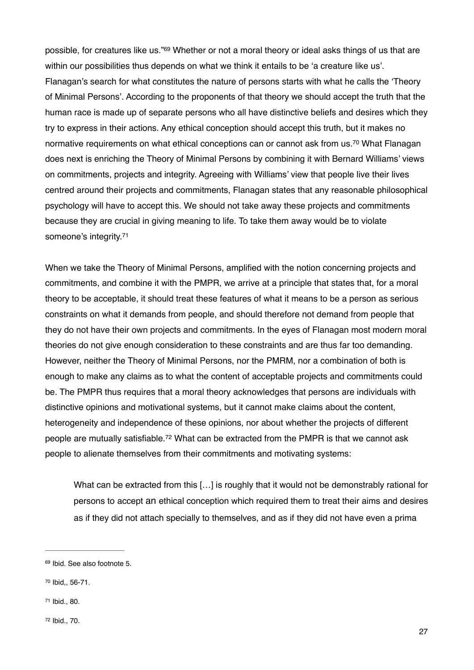possible, for creatures like us."<sup>69</sup> Whether or not a moral theory or ideal asks things of us that are within our possibilities thus depends on what we think it entails to be 'a creature like us'. Flanagan's search for what constitutes the nature of persons starts with what he calls the 'Theory of Minimal Persons'. According to the proponents of that theory we should accept the truth that the human race is made up of separate persons who all have distinctive beliefs and desires which they try to express in their actions. Any ethical conception should accept this truth, but it makes no normative requirements on what ethical conceptions can or cannot ask from us.<sup>70</sup> What Flanagan does next is enriching the Theory of Minimal Persons by combining it with Bernard Williams' views on commitments, projects and integrity. Agreeing with Williams' view that people live their lives centred around their projects and commitments, Flanagan states that any reasonable philosophical psychology will have to accept this. We should not take away these projects and commitments because they are crucial in giving meaning to life. To take them away would be to violate someone's integrity.71

When we take the Theory of Minimal Persons, amplified with the notion concerning projects and commitments, and combine it with the PMPR, we arrive at a principle that states that, for a moral theory to be acceptable, it should treat these features of what it means to be a person as serious constraints on what it demands from people, and should therefore not demand from people that they do not have their own projects and commitments. In the eyes of Flanagan most modern moral theories do not give enough consideration to these constraints and are thus far too demanding. However, neither the Theory of Minimal Persons, nor the PMRM, nor a combination of both is enough to make any claims as to what the content of acceptable projects and commitments could be. The PMPR thus requires that a moral theory acknowledges that persons are individuals with distinctive opinions and motivational systems, but it cannot make claims about the content, heterogeneity and independence of these opinions, nor about whether the projects of different people are mutually satisfiable.<sup>72</sup> What can be extracted from the PMPR is that we cannot ask people to alienate themselves from their commitments and motivating systems:

What can be extracted from this [...] is roughly that it would not be demonstrably rational for persons to accept an ethical conception which required them to treat their aims and desires as if they did not attach specially to themselves, and as if they did not have even a prima

<sup>69</sup> Ibid. See also footnote 5.

<sup>&</sup>lt;sup>70</sup> Ibid., 56-71.

<sup>&</sup>lt;sup>71</sup> Ibid., 80.

<sup>72</sup> Ibid., 70.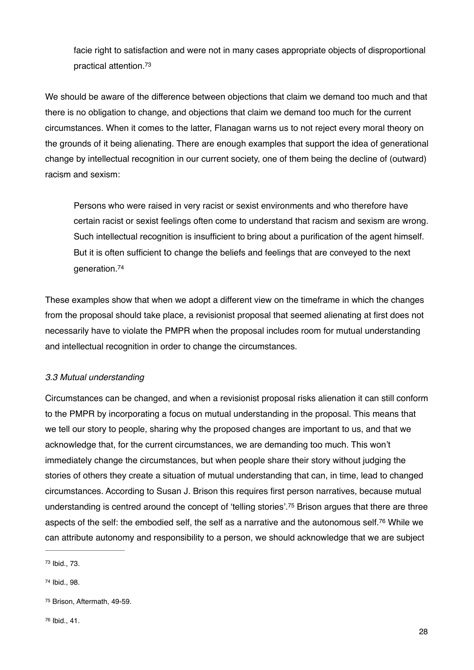facie right to satisfaction and were not in many cases appropriate objects of disproportional practical attention.73

We should be aware of the difference between objections that claim we demand too much and that there is no obligation to change, and objections that claim we demand too much for the current circumstances. When it comes to the latter, Flanagan warns us to not reject every moral theory on the grounds of it being alienating. There are enough examples that support the idea of generational change by intellectual recognition in our current society, one of them being the decline of (outward) racism and sexism:

Persons who were raised in very racist or sexist environments and who therefore have certain racist or sexist feelings often come to understand that racism and sexism are wrong. Such intellectual recognition is insufficient to bring about a purification of the agent himself. But it is often sufficient to change the beliefs and feelings that are conveyed to the next generation.74

These examples show that when we adopt a different view on the timeframe in which the changes from the proposal should take place, a revisionist proposal that seemed alienating at first does not necessarily have to violate the PMPR when the proposal includes room for mutual understanding and intellectual recognition in order to change the circumstances.

# *3.3 Mutual understanding*

Circumstances can be changed, and when a revisionist proposal risks alienation it can still conform to the PMPR by incorporating a focus on mutual understanding in the proposal. This means that we tell our story to people, sharing why the proposed changes are important to us, and that we acknowledge that, for the current circumstances, we are demanding too much. This won't immediately change the circumstances, but when people share their story without judging the stories of others they create a situation of mutual understanding that can, in time, lead to changed circumstances. According to Susan J. Brison this requires first person narratives, because mutual understanding is centred around the concept of 'telling stories'.<sup>75</sup> Brison argues that there are three aspects of the self: the embodied self, the self as a narrative and the autonomous self.<sup>76</sup> While we can attribute autonomy and responsibility to a person, we should acknowledge that we are subject

<sup>&</sup>lt;sup>73</sup> Ibid., 73.

<sup>&</sup>lt;sup>74</sup> Ibid., 98.

<sup>&</sup>lt;sup>75</sup> Brison, Aftermath, 49-59.

<sup>76</sup> Ibid., 41.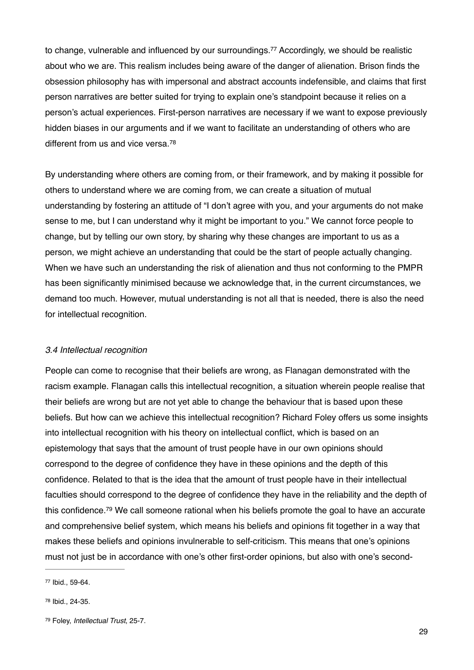to change, vulnerable and influenced by our surroundings.<sup>77</sup> Accordingly, we should be realistic about who we are. This realism includes being aware of the danger of alienation. Brison finds the obsession philosophy has with impersonal and abstract accounts indefensible, and claims that first person narratives are better suited for trying to explain one's standpoint because it relies on a person's actual experiences. First-person narratives are necessary if we want to expose previously hidden biases in our arguments and if we want to facilitate an understanding of others who are different from us and vice versa.<sup>78</sup>

By understanding where others are coming from, or their framework, and by making it possible for others to understand where we are coming from, we can create a situation of mutual understanding by fostering an attitude of "I don't agree with you, and your arguments do not make sense to me, but I can understand why it might be important to you." We cannot force people to change, but by telling our own story, by sharing why these changes are important to us as a person, we might achieve an understanding that could be the start of people actually changing. When we have such an understanding the risk of alienation and thus not conforming to the PMPR has been significantly minimised because we acknowledge that, in the current circumstances, we demand too much. However, mutual understanding is not all that is needed, there is also the need for intellectual recognition.

#### *3.4 Intellectual recognition*

People can come to recognise that their beliefs are wrong, as Flanagan demonstrated with the racism example. Flanagan calls this intellectual recognition, a situation wherein people realise that their beliefs are wrong but are not yet able to change the behaviour that is based upon these beliefs. But how can we achieve this intellectual recognition? Richard Foley offers us some insights into intellectual recognition with his theory on intellectual conflict, which is based on an epistemology that says that the amount of trust people have in our own opinions should correspond to the degree of confidence they have in these opinions and the depth of this confidence. Related to that is the idea that the amount of trust people have in their intellectual faculties should correspond to the degree of confidence they have in the reliability and the depth of this confidence.<sup>79</sup> We call someone rational when his beliefs promote the goal to have an accurate and comprehensive belief system, which means his beliefs and opinions fit together in a way that makes these beliefs and opinions invulnerable to self-criticism. This means that one's opinions must not just be in accordance with one's other first-order opinions, but also with one's second-

<sup>77</sup> Ibid., 59-64.

<sup>&</sup>lt;sup>78</sup> Ibid., 24-35.

<sup>&</sup>lt;sup>79</sup> Foley, *Intellectual Trust*, 25-7.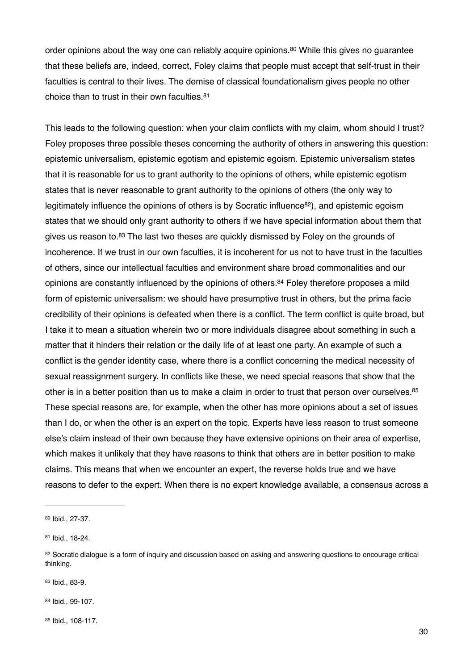order opinions about the way one can reliably acquire opinions.<sup>80</sup> While this gives no quarantee that these beliefs are, indeed, correct, Foley claims that people must accept that self-trust in their faculties is central to their lives. The demise of classical foundationalism gives people no other choice than to trust in their own faculties.81

This leads to the following question: when your claim conflicts with my claim, whom should I trust? Foley proposes three possible theses concerning the authority of others in answering this question: epistemic universalism, epistemic egotism and epistemic egoism. Epistemic universalism states that it is reasonable for us to grant authority to the opinions of others, while epistemic egotism states that is never reasonable to grant authority to the opinions of others (the only way to legitimately influence the opinions of others is by Socratic influence<sup>82</sup>), and epistemic egoism states that we should only grant authority to others if we have special information about them that gives us reason to.<sup>83</sup> The last two theses are quickly dismissed by Foley on the grounds of incoherence. If we trust in our own faculties, it is incoherent for us not to have trust in the faculties of others, since our intellectual faculties and environment share broad commonalities and our opinions are constantly influenced by the opinions of others. $84$  Foley therefore proposes a mild form of epistemic universalism: we should have presumptive trust in others, but the prima facie credibility of their opinions is defeated when there is a conflict. The term conflict is quite broad, but I take it to mean a situation wherein two or more individuals disagree about something in such a matter that it hinders their relation or the daily life of at least one party. An example of such a conflict is the gender identity case, where there is a conflict concerning the medical necessity of sexual reassignment surgery. In conflicts like these, we need special reasons that show that the other is in a better position than us to make a claim in order to trust that person over ourselves.<sup>85</sup> These special reasons are, for example, when the other has more opinions about a set of issues than I do, or when the other is an expert on the topic. Experts have less reason to trust someone else's claim instead of their own because they have extensive opinions on their area of expertise, which makes it unlikely that they have reasons to think that others are in better position to make claims. This means that when we encounter an expert, the reverse holds true and we have reasons to defer to the expert. When there is no expert knowledge available, a consensus across a

81 Ibid., 18-24.

83 Ibid., 83-9.

84 Ibid., 99-107.

85 Ibid., 108-117.

<sup>80</sup> Ibid., 27-37.

<sup>82</sup> Socratic dialogue is a form of inquiry and discussion based on asking and answering questions to encourage critical thinking.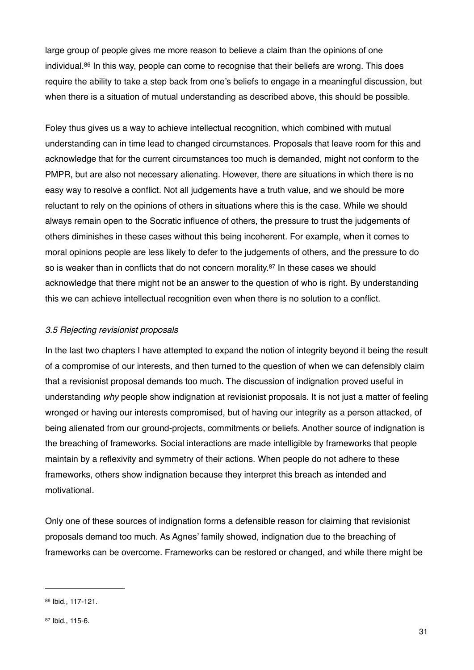large group of people gives me more reason to believe a claim than the opinions of one individual.  $86$  In this way, people can come to recognise that their beliefs are wrong. This does require the ability to take a step back from one's beliefs to engage in a meaningful discussion, but when there is a situation of mutual understanding as described above, this should be possible.

Foley thus gives us a way to achieve intellectual recognition, which combined with mutual understanding can in time lead to changed circumstances. Proposals that leave room for this and acknowledge that for the current circumstances too much is demanded, might not conform to the PMPR, but are also not necessary alienating. However, there are situations in which there is no easy way to resolve a conflict. Not all judgements have a truth value, and we should be more reluctant to rely on the opinions of others in situations where this is the case. While we should always remain open to the Socratic influence of others, the pressure to trust the judgements of others diminishes in these cases without this being incoherent. For example, when it comes to moral opinions people are less likely to defer to the judgements of others, and the pressure to do so is weaker than in conflicts that do not concern morality. $87$  In these cases we should acknowledge that there might not be an answer to the question of who is right. By understanding this we can achieve intellectual recognition even when there is no solution to a conflict.

#### *3.5 Rejecting revisionist proposals*

In the last two chapters I have attempted to expand the notion of integrity beyond it being the result of a compromise of our interests, and then turned to the question of when we can defensibly claim that a revisionist proposal demands too much. The discussion of indignation proved useful in understanding *why* people show indignation at revisionist proposals. It is not just a matter of feeling wronged or having our interests compromised, but of having our integrity as a person attacked, of being alienated from our ground-projects, commitments or beliefs. Another source of indignation is the breaching of frameworks. Social interactions are made intelligible by frameworks that people maintain by a reflexivity and symmetry of their actions. When people do not adhere to these frameworks, others show indignation because they interpret this breach as intended and motivational.

Only one of these sources of indignation forms a defensible reason for claiming that revisionist proposals demand too much. As Agnes' family showed, indignation due to the breaching of frameworks can be overcome. Frameworks can be restored or changed, and while there might be

<sup>86</sup> Ibid., 117-121.

<sup>87</sup> Ibid., 115-6.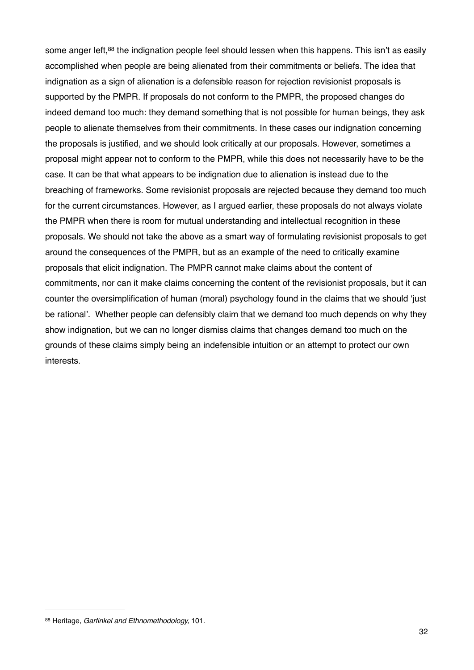some anger left, $88$  the indignation people feel should lessen when this happens. This isn't as easily accomplished when people are being alienated from their commitments or beliefs. The idea that indignation as a sign of alienation is a defensible reason for rejection revisionist proposals is supported by the PMPR. If proposals do not conform to the PMPR, the proposed changes do indeed demand too much: they demand something that is not possible for human beings, they ask people to alienate themselves from their commitments. In these cases our indignation concerning the proposals is justified, and we should look critically at our proposals. However, sometimes a proposal might appear not to conform to the PMPR, while this does not necessarily have to be the case. It can be that what appears to be indignation due to alienation is instead due to the breaching of frameworks. Some revisionist proposals are rejected because they demand too much for the current circumstances. However, as I argued earlier, these proposals do not always violate the PMPR when there is room for mutual understanding and intellectual recognition in these proposals. We should not take the above as a smart way of formulating revisionist proposals to get around the consequences of the PMPR, but as an example of the need to critically examine proposals that elicit indignation. The PMPR cannot make claims about the content of commitments, nor can it make claims concerning the content of the revisionist proposals, but it can counter the oversimplification of human (moral) psychology found in the claims that we should 'just be rational'. Whether people can defensibly claim that we demand too much depends on why they show indignation, but we can no longer dismiss claims that changes demand too much on the grounds of these claims simply being an indefensible intuition or an attempt to protect our own interests.

<sup>88</sup> Heritage, *Garfinkel and Ethnomethodology*, 101.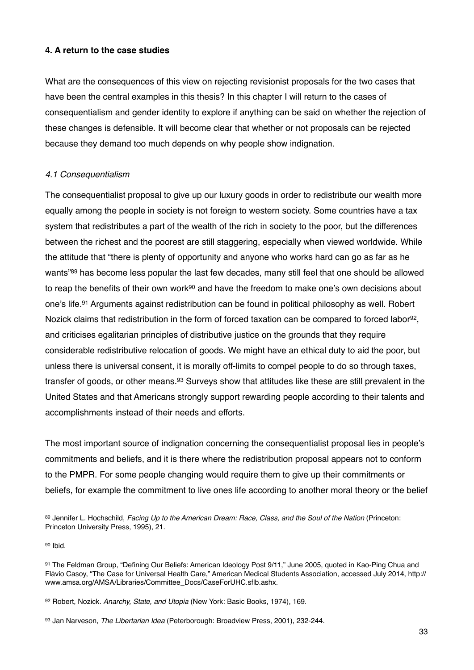# **4. A return to the case studies**

What are the consequences of this view on rejecting revisionist proposals for the two cases that have been the central examples in this thesis? In this chapter I will return to the cases of consequentialism and gender identity to explore if anything can be said on whether the rejection of these changes is defensible. It will become clear that whether or not proposals can be rejected because they demand too much depends on why people show indignation.

# *4.1 Consequentialism*

The consequentialist proposal to give up our luxury goods in order to redistribute our wealth more equally among the people in society is not foreign to western society. Some countries have a tax system that redistributes a part of the wealth of the rich in society to the poor, but the differences between the richest and the poorest are still staggering, especially when viewed worldwide. While the attitude that "there is plenty of opportunity and anyone who works hard can go as far as he wants<sup>"89</sup> has become less popular the last few decades, many still feel that one should be allowed to reap the benefits of their own work<sup>90</sup> and have the freedom to make one's own decisions about one's life.<sup>91</sup> Arguments against redistribution can be found in political philosophy as well. Robert Nozick claims that redistribution in the form of forced taxation can be compared to forced labor<sup>92</sup>. and criticises egalitarian principles of distributive justice on the grounds that they require considerable redistributive relocation of goods. We might have an ethical duty to aid the poor, but unless there is universal consent, it is morally off-limits to compel people to do so through taxes, transfer of goods, or other means.<sup>93</sup> Surveys show that attitudes like these are still prevalent in the United States and that Americans strongly support rewarding people according to their talents and accomplishments instead of their needs and efforts.

The most important source of indignation concerning the consequentialist proposal lies in people's commitments and beliefs, and it is there where the redistribution proposal appears not to conform to the PMPR. For some people changing would require them to give up their commitments or beliefs, for example the commitment to live ones life according to another moral theory or the belief

<sup>89</sup> Jennifer L. Hochschild, *Facing Up to the American Dream: Race, Class, and the Soul of the Nation (Princeton:* Princeton University Press, 1995), 21.

Ibid. 90

<sup>91</sup> The Feldman Group, "Defining Our Beliefs: American Ideology Post 9/11," June 2005, quoted in Kao-Ping Chua and Flávio Casoy, "The Case for Universal Health Care," American Medical Students Association, accessed July 2014, http:// www.amsa.org/AMSA/Libraries/Committee\_Docs/CaseForUHC.sflb.ashx.

<sup>92</sup> Robert, Nozick. Anarchy, State, and Utopia (New York: Basic Books, 1974), 169.

<sup>93</sup> Jan Narveson, *The Libertarian Idea* (Peterborough: Broadview Press, 2001), 232-244.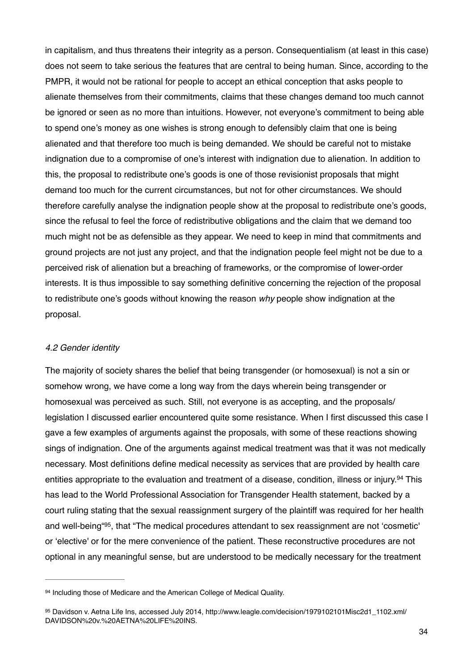in capitalism, and thus threatens their integrity as a person. Consequentialism (at least in this case) does not seem to take serious the features that are central to being human. Since, according to the PMPR, it would not be rational for people to accept an ethical conception that asks people to alienate themselves from their commitments, claims that these changes demand too much cannot be ignored or seen as no more than intuitions. However, not everyone's commitment to being able to spend one's money as one wishes is strong enough to defensibly claim that one is being alienated and that therefore too much is being demanded. We should be careful not to mistake indignation due to a compromise of one's interest with indignation due to alienation. In addition to this, the proposal to redistribute one's goods is one of those revisionist proposals that might demand too much for the current circumstances, but not for other circumstances. We should therefore carefully analyse the indignation people show at the proposal to redistribute one's goods, since the refusal to feel the force of redistributive obligations and the claim that we demand too much might not be as defensible as they appear. We need to keep in mind that commitments and ground projects are not just any project, and that the indignation people feel might not be due to a perceived risk of alienation but a breaching of frameworks, or the compromise of lower-order interests. It is thus impossible to say something definitive concerning the rejection of the proposal to redistribute one's goods without knowing the reason *why* people show indignation at the proposal.

#### *4.2 Gender identity*

The majority of society shares the belief that being transgender (or homosexual) is not a sin or somehow wrong, we have come a long way from the days wherein being transgender or homosexual was perceived as such. Still, not everyone is as accepting, and the proposals/ legislation I discussed earlier encountered quite some resistance. When I first discussed this case I gave a few examples of arguments against the proposals, with some of these reactions showing sings of indignation. One of the arguments against medical treatment was that it was not medically necessary. Most definitions define medical necessity as services that are provided by health care entities appropriate to the evaluation and treatment of a disease, condition, illness or injury.<sup>94</sup> This has lead to the World Professional Association for Transgender Health statement, backed by a court ruling stating that the sexual reassignment surgery of the plaintiff was required for her health and well-being<sup>"95</sup>, that "The medical procedures attendant to sex reassignment are not 'cosmetic' or 'elective' or for the mere convenience of the patient. These reconstructive procedures are not optional in any meaningful sense, but are understood to be medically necessary for the treatment

<sup>94</sup> Including those of Medicare and the American College of Medical Quality.

<sup>95</sup> Davidson v. Aetna Life Ins, accessed July 2014, http://www.leagle.com/decision/1979102101Misc2d1\_1102.xml/ DAVIDSON%20v.%20AETNA%20LIFE%20INS.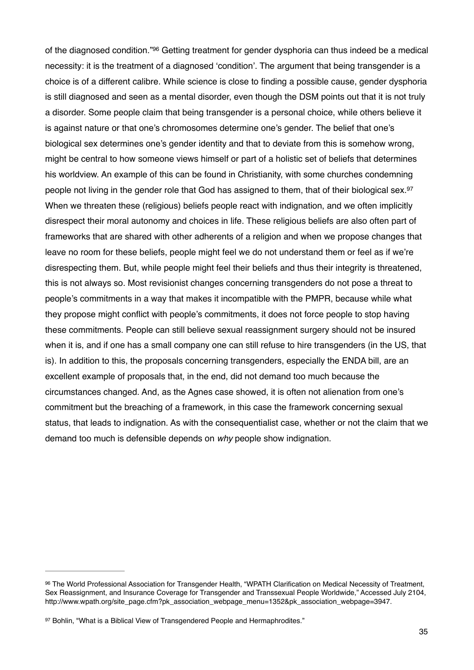of the diagnosed condition."<sup>96</sup> Getting treatment for gender dysphoria can thus indeed be a medical necessity: it is the treatment of a diagnosed 'condition'. The argument that being transgender is a choice is of a different calibre. While science is close to finding a possible cause, gender dysphoria is still diagnosed and seen as a mental disorder, even though the DSM points out that it is not truly a disorder. Some people claim that being transgender is a personal choice, while others believe it is against nature or that one's chromosomes determine one's gender. The belief that one's biological sex determines one's gender identity and that to deviate from this is somehow wrong, might be central to how someone views himself or part of a holistic set of beliefs that determines his worldview. An example of this can be found in Christianity, with some churches condemning people not living in the gender role that God has assigned to them, that of their biological sex.97 When we threaten these (religious) beliefs people react with indignation, and we often implicitly disrespect their moral autonomy and choices in life. These religious beliefs are also often part of frameworks that are shared with other adherents of a religion and when we propose changes that leave no room for these beliefs, people might feel we do not understand them or feel as if we're disrespecting them. But, while people might feel their beliefs and thus their integrity is threatened, this is not always so. Most revisionist changes concerning transgenders do not pose a threat to people's commitments in a way that makes it incompatible with the PMPR, because while what they propose might conflict with people's commitments, it does not force people to stop having these commitments. People can still believe sexual reassignment surgery should not be insured when it is, and if one has a small company one can still refuse to hire transgenders (in the US, that is). In addition to this, the proposals concerning transgenders, especially the ENDA bill, are an excellent example of proposals that, in the end, did not demand too much because the circumstances changed. And, as the Agnes case showed, it is often not alienation from one's commitment but the breaching of a framework, in this case the framework concerning sexual status, that leads to indignation. As with the consequentialist case, whether or not the claim that we demand too much is defensible depends on *why* people show indignation.

<sup>96</sup> The World Professional Association for Transgender Health, "WPATH Clarification on Medical Necessity of Treatment, Sex Reassignment, and Insurance Coverage for Transgender and Transsexual People Worldwide," Accessed July 2104, http://www.wpath.org/site\_page.cfm?pk\_association\_webpage\_menu=1352&pk\_association\_webpage=3947.

<sup>97</sup> Bohlin, "What is a Biblical View of Transgendered People and Hermaphrodites."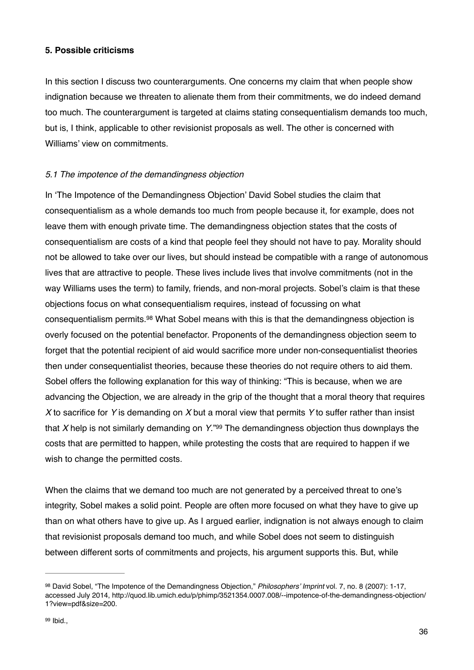## **5. Possible criticisms**

In this section I discuss two counterarguments. One concerns my claim that when people show indignation because we threaten to alienate them from their commitments, we do indeed demand too much. The counterargument is targeted at claims stating consequentialism demands too much, but is, I think, applicable to other revisionist proposals as well. The other is concerned with Williams' view on commitments.

# *5.1 The impotence of the demandingness objection*

In 'The Impotence of the Demandingness Objection' David Sobel studies the claim that consequentialism as a whole demands too much from people because it, for example, does not leave them with enough private time. The demandingness objection states that the costs of consequentialism are costs of a kind that people feel they should not have to pay. Morality should not be allowed to take over our lives, but should instead be compatible with a range of autonomous lives that are attractive to people. These lives include lives that involve commitments (not in the way Williams uses the term) to family, friends, and non-moral projects. Sobel's claim is that these objections focus on what consequentialism requires, instead of focussing on what consequentialism permits.<sup>98</sup> What Sobel means with this is that the demandingness objection is overly focused on the potential benefactor. Proponents of the demandingness objection seem to forget that the potential recipient of aid would sacrifice more under non-consequentialist theories then under consequentialist theories, because these theories do not require others to aid them. Sobel offers the following explanation for this way of thinking: "This is because, when we are advancing the Objection, we are already in the grip of the thought that a moral theory that requires *X* to sacrifice for *Y* is demanding on *X* but a moral view that permits *Y* to suffer rather than insist that *X* help is not similarly demanding on *Y*."99 The demandingness objection thus downplays the costs that are permitted to happen, while protesting the costs that are required to happen if we wish to change the permitted costs.

When the claims that we demand too much are not generated by a perceived threat to one's integrity, Sobel makes a solid point. People are often more focused on what they have to give up than on what others have to give up. As I argued earlier, indignation is not always enough to claim that revisionist proposals demand too much, and while Sobel does not seem to distinguish between different sorts of commitments and projects, his argument supports this. But, while

<sup>&</sup>lt;sup>98</sup> David Sobel, "The Impotence of the Demandingness Objection," *Philosophers' Imprint* vol. 7, no. 8 (2007): 1-17, accessed July 2014, http://quod.lib.umich.edu/p/phimp/3521354.0007.008/--impotence-of-the-demandingness-objection/ 1?view=pdf&size=200.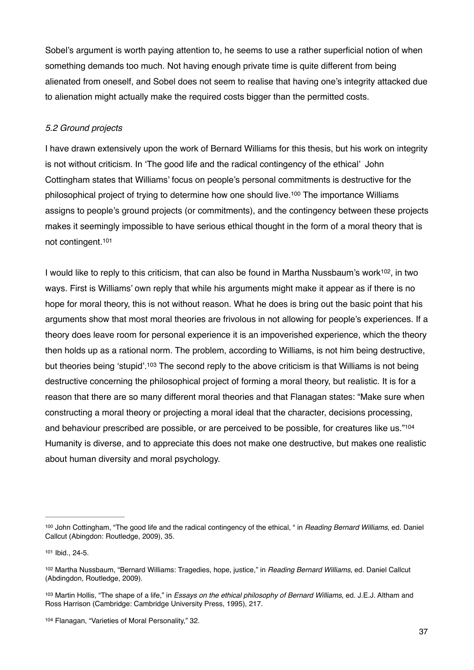Sobel's argument is worth paying attention to, he seems to use a rather superficial notion of when something demands too much. Not having enough private time is quite different from being alienated from oneself, and Sobel does not seem to realise that having one's integrity attacked due to alienation might actually make the required costs bigger than the permitted costs.

## *5.2 Ground projects*

I have drawn extensively upon the work of Bernard Williams for this thesis, but his work on integrity is not without criticism. In 'The good life and the radical contingency of the ethical' John Cottingham states that Williams' focus on people's personal commitments is destructive for the philosophical project of trying to determine how one should live.<sup>100</sup> The importance Williams assigns to people's ground projects (or commitments), and the contingency between these projects makes it seemingly impossible to have serious ethical thought in the form of a moral theory that is not contingent.101

I would like to reply to this criticism, that can also be found in Martha Nussbaum's work<sup>102</sup>, in two ways. First is Williams' own reply that while his arguments might make it appear as if there is no hope for moral theory, this is not without reason. What he does is bring out the basic point that his arguments show that most moral theories are frivolous in not allowing for people's experiences. If a theory does leave room for personal experience it is an impoverished experience, which the theory then holds up as a rational norm. The problem, according to Williams, is not him being destructive, but theories being 'stupid'.<sup>103</sup> The second reply to the above criticism is that Williams is not being destructive concerning the philosophical project of forming a moral theory, but realistic. It is for a reason that there are so many different moral theories and that Flanagan states: "Make sure when constructing a moral theory or projecting a moral ideal that the character, decisions processing, and behaviour prescribed are possible, or are perceived to be possible, for creatures like us."104 Humanity is diverse, and to appreciate this does not make one destructive, but makes one realistic about human diversity and moral psychology.

<sup>100</sup> John Cottingham, "The good life and the radical contingency of the ethical, " in *Reading Bernard Williams*, ed. Daniel Callcut (Abingdon: Routledge, 2009), 35.

<sup>101</sup> Ibid., 24-5.

<sup>102</sup> Martha Nussbaum, "Bernard Williams: Tragedies, hope, justice," in *Reading Bernard Williams*, ed. Daniel Callcut (Abdingdon, Routledge, 2009).

<sup>103</sup> Martin Hollis, "The shape of a life," in *Essays on the ethical philosophy of Bernard Williams*, ed. J.E.J. Altham and Ross Harrison (Cambridge: Cambridge University Press, 1995), 217.

<sup>104</sup> Flanagan, "Varieties of Moral Personality," 32.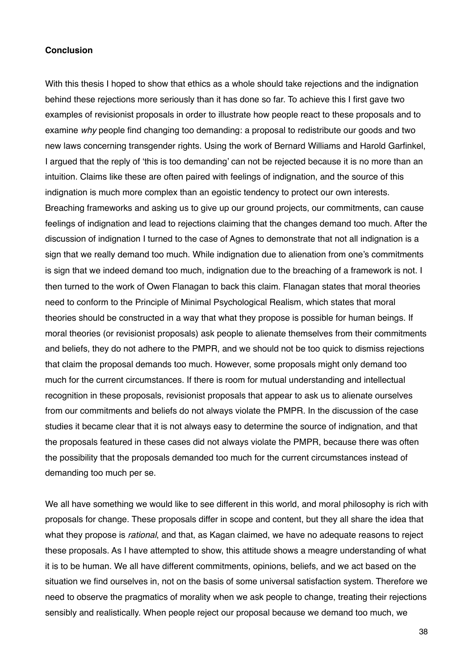#### **Conclusion**

With this thesis I hoped to show that ethics as a whole should take rejections and the indignation behind these rejections more seriously than it has done so far. To achieve this I first gave two examples of revisionist proposals in order to illustrate how people react to these proposals and to examine *why* people find changing too demanding: a proposal to redistribute our goods and two new laws concerning transgender rights. Using the work of Bernard Williams and Harold Garfinkel, I argued that the reply of 'this is too demanding' can not be rejected because it is no more than an intuition. Claims like these are often paired with feelings of indignation, and the source of this indignation is much more complex than an egoistic tendency to protect our own interests. Breaching frameworks and asking us to give up our ground projects, our commitments, can cause feelings of indignation and lead to rejections claiming that the changes demand too much. After the discussion of indignation I turned to the case of Agnes to demonstrate that not all indignation is a sign that we really demand too much. While indignation due to alienation from one's commitments is sign that we indeed demand too much, indignation due to the breaching of a framework is not. I then turned to the work of Owen Flanagan to back this claim. Flanagan states that moral theories need to conform to the Principle of Minimal Psychological Realism, which states that moral theories should be constructed in a way that what they propose is possible for human beings. If moral theories (or revisionist proposals) ask people to alienate themselves from their commitments and beliefs, they do not adhere to the PMPR, and we should not be too quick to dismiss rejections that claim the proposal demands too much. However, some proposals might only demand too much for the current circumstances. If there is room for mutual understanding and intellectual recognition in these proposals, revisionist proposals that appear to ask us to alienate ourselves from our commitments and beliefs do not always violate the PMPR. In the discussion of the case studies it became clear that it is not always easy to determine the source of indignation, and that the proposals featured in these cases did not always violate the PMPR, because there was often the possibility that the proposals demanded too much for the current circumstances instead of demanding too much per se.

We all have something we would like to see different in this world, and moral philosophy is rich with proposals for change. These proposals differ in scope and content, but they all share the idea that what they propose is *rational*, and that, as Kagan claimed, we have no adequate reasons to reject these proposals. As I have attempted to show, this attitude shows a meagre understanding of what it is to be human. We all have different commitments, opinions, beliefs, and we act based on the situation we find ourselves in, not on the basis of some universal satisfaction system. Therefore we need to observe the pragmatics of morality when we ask people to change, treating their rejections sensibly and realistically. When people reject our proposal because we demand too much, we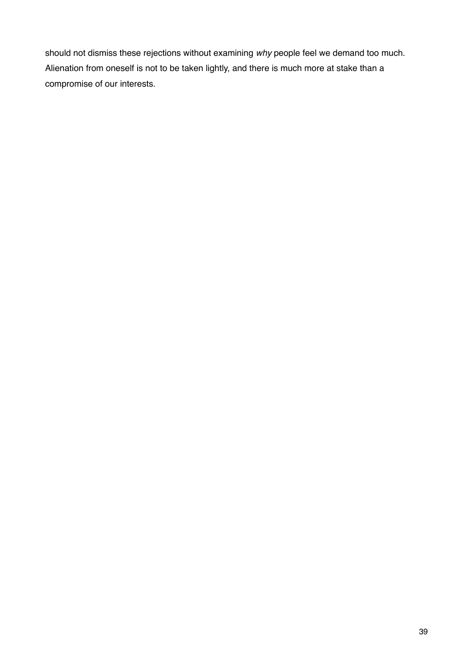should not dismiss these rejections without examining *why* people feel we demand too much. Alienation from oneself is not to be taken lightly, and there is much more at stake than a compromise of our interests.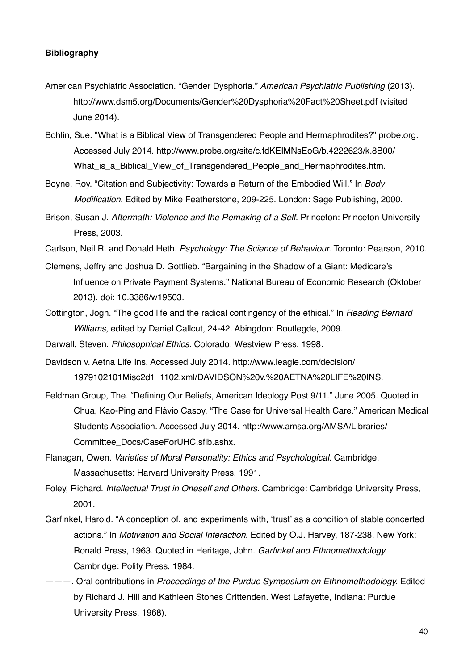#### **Bibliography**

- American Psychiatric Association. "Gender Dysphoria." *American Psychiatric Publishing* (2013). http://www.dsm5.org/Documents/Gender%20Dysphoria%20Fact%20Sheet.pdf (visited June 2014).
- Bohlin, Sue. "What is a Biblical View of Transgendered People and Hermaphrodites?" probe.org. Accessed July 2014. http://www.probe.org/site/c.fdKEIMNsEoG/b.4222623/k.8B00/ What\_is\_a\_Biblical\_View\_of\_Transgendered\_People\_and\_Hermaphrodites.htm.
- Boyne, Roy. "Citation and Subjectivity: Towards a Return of the Embodied Will." In *Body* !! *Modification.* Edited by Mike Featherstone, 209-225. London: Sage Publishing, 2000.
- Brison, Susan J. *Aftermath: Violence and the Remaking of a Self.* Princeton: Princeton University Press, 2003.
- Carlson, Neil R. and Donald Heth. *Psychology: The Science of Behaviour.* Toronto: Pearson, 2010.
- Clemens, Jeffry and Joshua D. Gottlieb. "Bargaining in the Shadow of a Giant: Medicare's Influence on Private Payment Systems." National Bureau of Economic Research (Oktober 2013). doi: 10.3386/w19503.
- Cottington, Jogn. "The good life and the radical contingency of the ethical." In *Reading Bernard Williams*, edited by Daniel Callcut, 24-42. Abingdon: Routlegde, 2009.
- Darwall, Steven. *Philosophical Ethics.* Colorado: Westview Press, 1998*.*
- Davidson v. Aetna Life Ins. Accessed July 2014. http://www.leagle.com/decision/ 1979102101Misc2d1\_1102.xml/DAVIDSON%20v.%20AETNA%20LIFE%20INS.
- Feldman Group, The. "Defining Our Beliefs, American Ideology Post 9/11." June 2005. Quoted in Chua, Kao-Ping and Flávio Casoy. "The Case for Universal Health Care." American Medical Students Association. Accessed July 2014. http://www.amsa.org/AMSA/Libraries/ Committee\_Docs/CaseForUHC.sflb.ashx.
- Flanagan, Owen. *Varieties of Moral Personality: Ethics and Psychological*. Cambridge, ! ! Massachusetts: Harvard University Press, 1991.
- Foley, Richard. *Intellectual Trust in Oneself and Others.* Cambridge: Cambridge University Press, 2001.
- Garfinkel, Harold. "A conception of, and experiments with, 'trust' as a condition of stable concerted actions." In *Motivation and Social Interaction.* Edited by O.J. Harvey, 187-238. New York: Ronald Press, 1963. Quoted in Heritage, John. *Garfinkel and Ethnomethodology.*  Cambridge: Polity Press, 1984.
- ———. Oral contributions in *Proceedings of the Purdue Symposium on Ethnomethodology.* Edited by Richard J. Hill and Kathleen Stones Crittenden. West Lafayette, Indiana: Purdue University Press, 1968).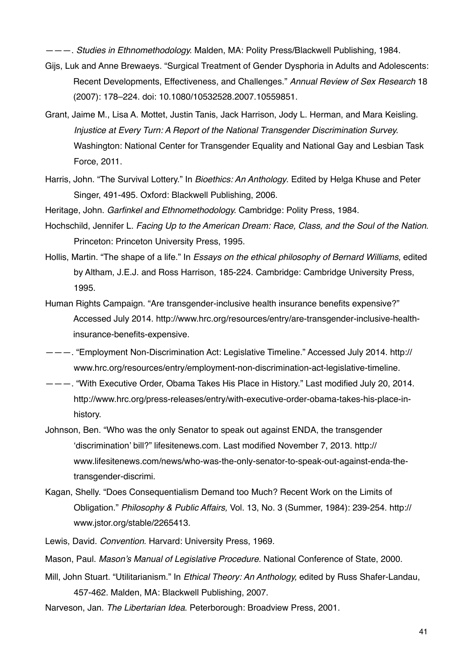———. *Studies in Ethnomethodology.* Malden, MA: Polity Press/Blackwell Publishing*,* 1984.

- Gijs, Luk and Anne Brewaeys. "Surgical Treatment of Gender Dysphoria in Adults and Adolescents: Recent Developments, Effectiveness, and Challenges." *Annual Review of Sex Research* 18 (2007): 178–224. doi: 10.1080/10532528.2007.10559851.
- Grant, Jaime M., Lisa A. Mottet, Justin Tanis, Jack Harrison, Jody L. Herman, and Mara Keisling. *Injustice at Every Turn: A Report of the National Transgender Discrimination Survey.* Washington: National Center for Transgender Equality and National Gay and Lesbian Task Force, 2011.
- Harris, John. "The Survival Lottery." In *Bioethics: An Anthology*. Edited by Helga Khuse and Peter Singer, 491-495. Oxford: Blackwell Publishing, 2006.

Heritage, John. *Garfinkel and Ethnomethodology.* Cambridge: Polity Press, 1984.

- Hochschild, Jennifer L. *Facing Up to the American Dream: Race, Class, and the Soul of the Nation*. Princeton: Princeton University Press, 1995.
- Hollis, Martin. "The shape of a life." In *Essays on the ethical philosophy of Bernard Williams*, edited by Altham, J.E.J. and Ross Harrison, 185-224. Cambridge: Cambridge University Press, 1995.
- Human Rights Campaign. "Are transgender-inclusive health insurance benefits expensive?" Accessed July 2014. http://www.hrc.org/resources/entry/are-transgender-inclusive-healthinsurance-benefits-expensive.
- ———. "Employment Non-Discrimination Act: Legislative Timeline." Accessed July 2014. http:// www.hrc.org/resources/entry/employment-non-discrimination-act-legislative-timeline.
- ———. "With Executive Order, Obama Takes His Place in History." Last modified July 20, 2014. http://www.hrc.org/press-releases/entry/with-executive-order-obama-takes-his-place-inhistory.
- Johnson, Ben. "Who was the only Senator to speak out against ENDA, the transgender 'discrimination' bill?" lifesitenews.com. Last modified November 7, 2013. http:// www.lifesitenews.com/news/who-was-the-only-senator-to-speak-out-against-enda-thetransgender-discrimi.
- Kagan, Shelly. "Does Consequentialism Demand too Much? Recent Work on the Limits of Obligation." *Philosophy & Public Affairs,* Vol. 13, No. 3 (Summer, 1984): 239-254. http:// www.jstor.org/stable/2265413.
- Lewis, David. *Convention*. Harvard: University Press, 1969.
- Mason, Paul. *Mason's Manual of Legislative Procedure.* National Conference of State, 2000.
- Mill, John Stuart. "Utilitarianism." In *Ethical Theory: An Anthology,* edited by Russ Shafer-Landau, 457-462. Malden, MA: Blackwell Publishing, 2007.
- Narveson, Jan. *The Libertarian Idea*. Peterborough: Broadview Press, 2001.